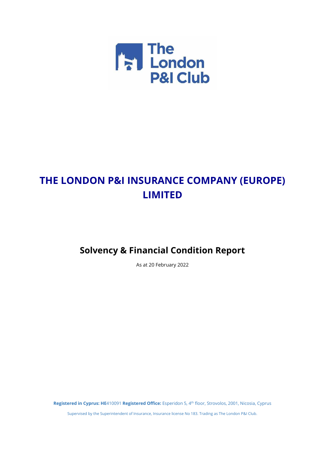

# **THE LONDON P&I INSURANCE COMPANY (EUROPE) LIMITED**

# **Solvency & Financial Condition Report**

As at 20 February 2022

**Registered in Cyprus: HE**410091 **Registered Office:** Esperidon 5, 4 th floor, Strovolos, 2001, Nicosia, Cyprus Supervised by the Superintendent of Insurance, Insurance license No 183. Trading as The London P&I Club.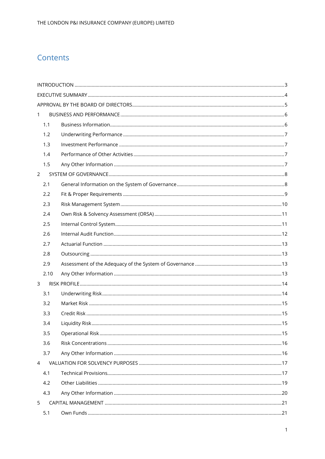## Contents

| $\mathbf{1}$   |      |  |
|----------------|------|--|
|                | 1.1  |  |
|                | 1.2  |  |
|                | 1.3  |  |
|                | 1.4  |  |
|                | 1.5  |  |
| $\overline{2}$ |      |  |
|                | 2.1  |  |
|                | 2.2  |  |
|                | 2.3  |  |
|                | 2.4  |  |
|                | 2.5  |  |
|                | 2.6  |  |
|                | 2.7  |  |
|                | 2.8  |  |
|                | 2.9  |  |
|                | 2.10 |  |
| 3              |      |  |
|                | 3.1  |  |
|                | 3.2  |  |
|                | 3.3  |  |
|                | 3.4  |  |
|                | 3.5  |  |
|                | 3.6  |  |
|                | 3.7  |  |
| $\overline{4}$ |      |  |
|                | 4.1  |  |
|                | 4.2  |  |
|                | 4.3  |  |
| 5              |      |  |
|                | 5.1  |  |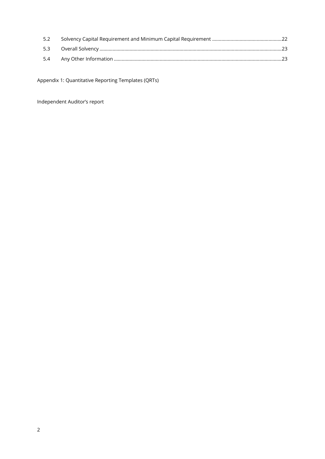| 5.2  |  |
|------|--|
| 5.3  |  |
| -5.4 |  |

Appendix 1: Quantitative Reporting Templates (QRTs)

Independent Auditor's report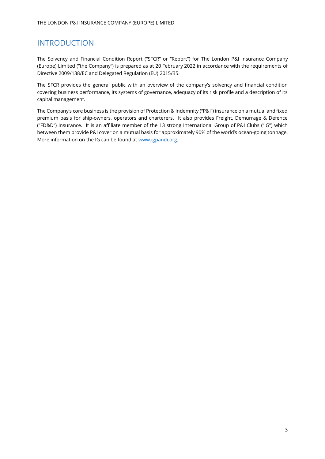## <span id="page-3-0"></span>INTRODUCTION

The Solvency and Financial Condition Report ("SFCR" or "Report") for The London P&I Insurance Company (Europe) Limited ("the Company") is prepared as at 20 February 2022 in accordance with the requirements of Directive 2009/138/EC and Delegated Regulation (EU) 2015/35.

The SFCR provides the general public with an overview of the company's solvency and financial condition covering business performance, its systems of governance, adequacy of its risk profile and a description of its capital management.

The Company's core business is the provision of Protection & Indemnity ("P&I") insurance on a mutual and fixed premium basis for ship-owners, operators and charterers. It also provides Freight, Demurrage & Defence ("FD&D") insurance. It is an affiliate member of the 13 strong International Group of P&I Clubs ("IG") which between them provide P&I cover on a mutual basis for approximately 90% of the world's ocean-going tonnage. More information on the IG can be found a[t www.igpandi.org.](http://www.igpandi.org/)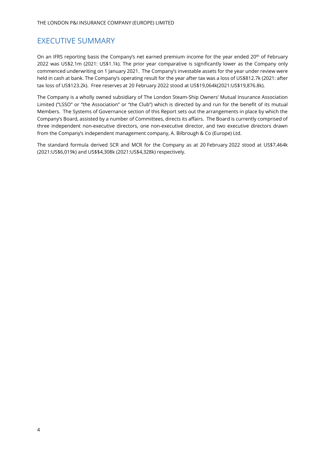## <span id="page-4-0"></span>EXECUTIVE SUMMARY

On an IFRS reporting basis the Company's net earned premium income for the year ended 20<sup>th</sup> of February 2022 was US\$2.1m (2021: US\$1.1k). The prior year comparative is significantly lower as the Company only commenced underwriting on 1 January 2021. The Company's investable assets for the year under review were held in cash at bank. The Company's operating result for the year after tax was a loss of US\$812.7k (2021: after tax loss of US\$123.2k). Free reserves at 20 February 2022 stood at US\$19,064k(2021:US\$19,876.8k).

The Company is a wholly owned subsidiary of The London Steam-Ship Owners' Mutual Insurance Association Limited ("LSSO" or "the Association" or "the Club") which is directed by and run for the benefit of its mutual Members. The Systems of Governance section of this Report sets out the arrangements in place by which the Company's Board, assisted by a number of Committees, directs its affairs. The Board is currently comprised of three independent non-executive directors, one non-executive director, and two executive directors drawn from the Company's independent management company, A. Bilbrough & Co (Europe) Ltd.

The standard formula derived SCR and MCR for the Company as at 20 February 2022 stood at US\$7,464k (2021:US\$6,019k) and US\$\$4,308k (2021:US\$4,328k) respectively.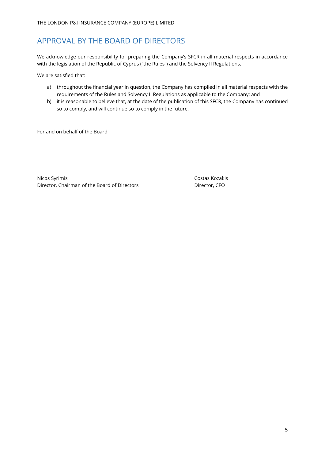## <span id="page-5-0"></span>APPROVAL BY THE BOARD OF DIRECTORS

We acknowledge our responsibility for preparing the Company's SFCR in all material respects in accordance with the legislation of the Republic of Cyprus ("the Rules") and the Solvency II Regulations.

We are satisfied that:

- a) throughout the financial year in question, the Company has complied in all material respects with the requirements of the Rules and Solvency II Regulations as applicable to the Company; and
- b) it is reasonable to believe that, at the date of the publication of this SFCR, the Company has continued so to comply, and will continue so to comply in the future.

For and on behalf of the Board

Nicos Syrimis **Costas Kozakis** Costas Kozakis Director, Chairman of the Board of Directors Director, CFO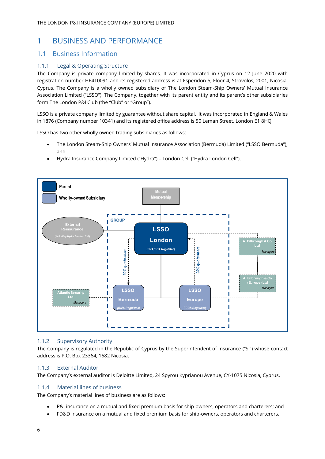## <span id="page-6-0"></span>1 BUSINESS AND PERFORMANCE

## <span id="page-6-1"></span>1.1 Business Information

### 1.1.1 Legal & Operating Structure

The Company is private company limited by shares. It was incorporated in Cyprus on 12 June 2020 with registration number HE410091 and its registered address is at Esperidon 5, Floor 4, Strovolos, 2001, Nicosia, Cyprus. The Company is a wholly owned subsidiary of The London Steam-Ship Owners' Mutual Insurance Association Limited ("LSSO"). The Company, together with its parent entity and its parent's other subsidiaries form The London P&I Club (the "Club" or "Group").

LSSO is a private company limited by guarantee without share capital. It was incorporated in England & Wales in 1876 (Company number 10341) and its registered office address is 50 Leman Street, London E1 8HQ.

LSSO has two other wholly owned trading subsidiaries as follows:

- The London Steam-Ship Owners' Mutual Insurance Association (Bermuda) Limited ("LSSO Bermuda"); and
- Hydra Insurance Company Limited ("Hydra") London Cell ("Hydra London Cell").



### 1.1.2 Supervisory Authority

The Company is regulated in the Republic of Cyprus by the Superintendent of Insurance ("SI") whose contact address is P.O. Box 23364, 1682 Nicosia.

### 1.1.3 External Auditor

The Company's external auditor is Deloitte Limited, 24 Spyrou Kyprianou Avenue, CY-1075 Nicosia, Cyprus.

#### 1.1.4 Material lines of business

The Company's material lines of business are as follows:

- P&I insurance on a mutual and fixed premium basis for ship-owners, operators and charterers; and
- FD&D insurance on a mutual and fixed premium basis for ship-owners, operators and charterers.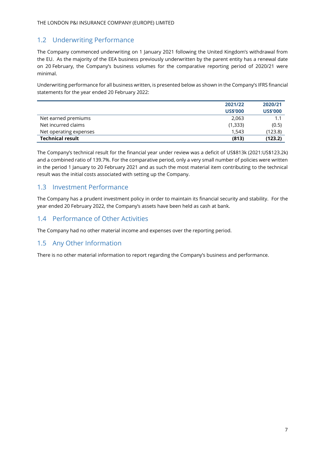## <span id="page-7-0"></span>1.2 Underwriting Performance

The Company commenced underwriting on 1 January 2021 following the United Kingdom's withdrawal from the EU. As the majority of the EEA business previously underwritten by the parent entity has a renewal date on 20 February, the Company's business volumes for the comparative reporting period of 2020/21 were minimal.

Underwriting performance for all business written, is presented below as shown in the Company's IFRS financial statements for the year ended 20 February 2022:

|                         | 2021/22         | 2020/21         |
|-------------------------|-----------------|-----------------|
|                         | <b>US\$'000</b> | <b>US\$'000</b> |
| Net earned premiums     | 2,063           | 1.1             |
| Net incurred claims     | (1,333)         | (0.5)           |
| Net operating expenses  | 1.543           | (123.8)         |
| <b>Technical result</b> | (813)           | (123.2)         |

The Company's technical result for the financial year under review was a deficit of US\$813k (2021:US\$123.2k) and a combined ratio of 139.7%. For the comparative period, only a very small number of policies were written in the period 1 January to 20 February 2021 and as such the most material item contributing to the technical result was the initial costs associated with setting up the Company.

## <span id="page-7-1"></span>1.3 Investment Performance

The Company has a prudent investment policy in order to maintain its financial security and stability. For the year ended 20 February 2022, the Company's assets have been held as cash at bank.

## <span id="page-7-2"></span>1.4 Performance of Other Activities

The Company had no other material income and expenses over the reporting period.

## <span id="page-7-3"></span>1.5 Any Other Information

There is no other material information to report regarding the Company's business and performance.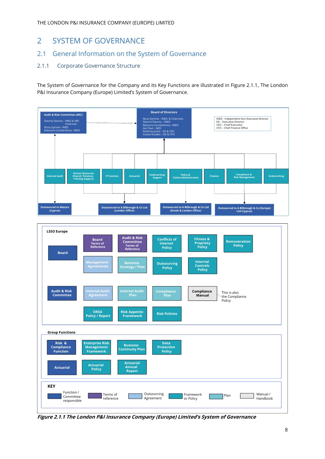## <span id="page-8-0"></span>2 SYSTEM OF GOVERNANCE

## <span id="page-8-1"></span>2.1 General Information on the System of Governance

### 2.1.1 Corporate Governance Structure

The System of Governance for the Company and its Key Functions are illustrated in Figure 2.1.1, The London P&I Insurance Company (Europe) Limited's System of Governance.



**Figure 2.1.1 The London P&I Insurance Company (Europe) Limited's System of Governance**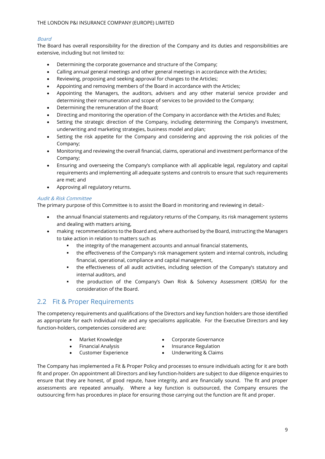### Board

The Board has overall responsibility for the direction of the Company and its duties and responsibilities are extensive, including but not limited to:

- Determining the corporate governance and structure of the Company;
- Calling annual general meetings and other general meetings in accordance with the Articles;
- Reviewing, proposing and seeking approval for changes to the Articles;
- Appointing and removing members of the Board in accordance with the Articles;
- Appointing the Managers, the auditors, advisers and any other material service provider and determining their remuneration and scope of services to be provided to the Company;
- Determining the remuneration of the Board;
- Directing and monitoring the operation of the Company in accordance with the Articles and Rules;
- Setting the strategic direction of the Company, including determining the Company's investment, underwriting and marketing strategies, business model and plan;
- Setting the risk appetite for the Company and considering and approving the risk policies of the Company;
- Monitoring and reviewing the overall financial, claims, operational and investment performance of the Company;
- Ensuring and overseeing the Company's compliance with all applicable legal, regulatory and capital requirements and implementing all adequate systems and controls to ensure that such requirements are met; and
- Approving all regulatory returns.

#### Audit & Risk Committee

The primary purpose of this Committee is to assist the Board in monitoring and reviewing in detail:-

- the annual financial statements and regulatory returns of the Company, its risk management systems and dealing with matters arising,
- making recommendations to the Board and, where authorised by the Board, instructing the Managers to take action in relation to matters such as
	- the integrity of the management accounts and annual financial statements,
	- the effectiveness of the Company's risk management system and internal controls, including financial, operational, compliance and capital management,
	- the effectiveness of all audit activities, including selection of the Company's statutory and internal auditors, and
	- the production of the Company's Own Risk & Solvency Assessment (ORSA) for the consideration of the Board.

## <span id="page-9-0"></span>2.2 Fit & Proper Requirements

The competency requirements and qualifications of the Directors and key function holders are those identified as appropriate for each individual role and any specialisms applicable. For the Executive Directors and key function-holders, competencies considered are:

- 
- Market Knowledge Corporate Governance
- 
- Financial Analysis Insurance Regulation
- Customer Experience Underwriting & Claims
	-

The Company has implemented a Fit & Proper Policy and processes to ensure individuals acting for it are both fit and proper. On appointment all Directors and key function-holders are subject to due diligence enquiries to ensure that they are honest, of good repute, have integrity, and are financially sound. The fit and proper assessments are repeated annually. Where a key function is outsourced, the Company ensures the outsourcing firm has procedures in place for ensuring those carrying out the function are fit and proper.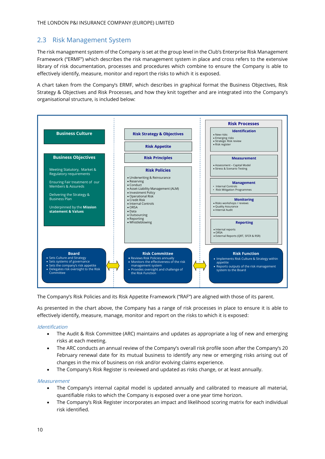## <span id="page-10-0"></span>2.3 Risk Management System

The risk management system of the Company is set at the group level in the Club's Enterprise Risk Management Framework ("ERMF") which describes the risk management system in place and cross refers to the extensive library of risk documentation, processes and procedures which combine to ensure the Company is able to effectively identify, measure, monitor and report the risks to which it is exposed.

A chart taken from the Company's ERMF, which describes in graphical format the Business Objectives, Risk Strategy & Objectives and Risk Processes, and how they knit together and are integrated into the Company's organisational structure, is included below:



The Company's Risk Policies and its Risk Appetite Framework ("RAF") are aligned with those of its parent.

As presented in the chart above, the Company has a range of risk processes in place to ensure it is able to effectively identify, measure, manage, monitor and report on the risks to which it is exposed:

#### Identification

- The Audit & Risk Committee (ARC) maintains and updates as appropriate a log of new and emerging risks at each meeting.
- The ARC conducts an annual review of the Company's overall risk profile soon after the Company's 20 February renewal date for its mutual business to identify any new or emerging risks arising out of changes in the mix of business on risk and/or evolving claims experience.
- The Company's Risk Register is reviewed and updated as risks change, or at least annually.

#### Measurement

- The Company's internal capital model is updated annually and calibrated to measure all material, quantifiable risks to which the Company is exposed over a one year time horizon.
- The Company's Risk Register incorporates an impact and likelihood scoring matrix for each individual risk identified.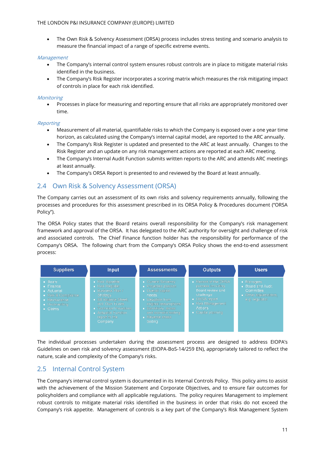• The Own Risk & Solvency Assessment (ORSA) process includes stress testing and scenario analysis to measure the financial impact of a range of specific extreme events.

#### Management

- The Company's internal control system ensures robust controls are in place to mitigate material risks identified in the business.
- The Company's Risk Register incorporates a scoring matrix which measures the risk mitigating impact of controls in place for each risk identified.

#### **Monitoring**

• Processes in place for measuring and reporting ensure that all risks are appropriately monitored over time.

#### Reporting

- Measurement of all material, quantifiable risks to which the Company is exposed over a one year time horizon, as calculated using the Company's internal capital model, are reported to the ARC annually.
- The Company's Risk Register is updated and presented to the ARC at least annually. Changes to the Risk Register and an update on any risk management actions are reported at each ARC meeting.
- The Company's Internal Audit Function submits written reports to the ARC and attends ARC meetings at least annually.
- The Company's ORSA Report is presented to and reviewed by the Board at least annually.

## <span id="page-11-0"></span>2.4 Own Risk & Solvency Assessment (ORSA)

The Company carries out an assessment of its own risks and solvency requirements annually, following the processes and procedures for this assessment prescribed in its ORSA Policy & Procedures document ("ORSA Policy").

The ORSA Policy states that the Board retains overall responsibility for the Company's risk management framework and approval of the ORSA. It has delegated to the ARC authority for oversight and challenge of risk and associated controls. The Chief Finance function holder has the responsibility for performance of the Company's ORSA. The following chart from the Company's ORSA Policy shows the end-to-end assessment process:



The individual processes undertaken during the assessment process are designed to address EIOPA's Guidelines on own risk and solvency assessment (EIOPA-BoS-14/259 EN), appropriately tailored to reflect the nature, scale and complexity of the Company's risks.

## <span id="page-11-1"></span>2.5 Internal Control System

The Company's internal control system is documented in its Internal Controls Policy. This policy aims to assist with the achievement of the Mission Statement and Corporate Objectives, and to ensure fair outcomes for policyholders and compliance with all applicable regulations. The policy requires Management to implement robust controls to mitigate material risks identified in the business in order that risks do not exceed the Company's risk appetite. Management of controls is a key part of the Company's Risk Management System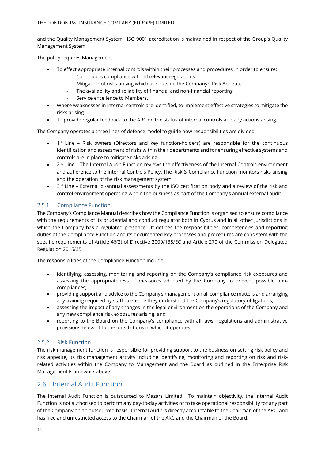and the Quality Management System. ISO 9001 accreditation is maintained in respect of the Group's Quality Management System.

The policy requires Management:

- To effect appropriate internal controls within their processes and procedures in order to ensure:
	- Continuous compliance with all relevant regulations
	- Mitigation of risks arising which are outside the Company's Risk Appetite
	- The availability and reliability of financial and non-financial reporting
	- Service excellence to Members.
- Where weaknesses in internal controls are identified, to implement effective strategies to mitigate the risks arising.
- To provide regular feedback to the ARC on the status of internal controls and any actions arising.

The Company operates a three lines of defence model to guide how responsibilities are divided:

- 1<sup>st</sup> Line Risk owners (Directors and key function-holders) are responsible for the continuous identification and assessment of risks within their departments and for ensuring effective systems and controls are in place to mitigate risks arising.
- $\bullet$  2<sup>nd</sup> Line The Internal Audit Function reviews the effectiveness of the Internal Controls environment and adherence to the Internal Controls Policy. The Risk & Compliance Function monitors risks arising and the operation of the risk management system.
- $\bullet$  3<sup>rd</sup> Line External bi-annual assessments by the ISO certification body and a review of the risk and control environment operating within the business as part of the Company's annual external audit.

#### 2.5.1 Compliance Function

The Company's Compliance Manual describes how the Compliance Function is organised to ensure compliance with the requirements of its prudential and conduct regulator both in Cyprus and in all other jurisdictions in which the Company has a regulated presence. It defines the responsibilities, competencies and reporting duties of the Compliance Function and its documented key processes and procedures are consistent with the specific requirements of Article 46(2) of Directive 2009/138/EC and Article 270 of the Commission Delegated Regulation 2015/35.

The responsibilities of the Compliance Function include:

- identifying, assessing, monitoring and reporting on the Company's compliance risk exposures and assessing the appropriateness of measures adopted by the Company to prevent possible noncompliances;
- providing support and advice to the Company's management on all compliance matters and arranging any training required by staff to ensure they understand the Company's regulatory obligations;
- assessing the impact of any changes in the legal environment on the operations of the Company and any new compliance risk exposures arising; and
- reporting to the Board on the Company's compliance with all laws, regulations and administrative provisions relevant to the jurisdictions in which it operates.

#### 2.5.2 Risk Function

The risk management function is responsible for providing support to the business on setting risk policy and risk appetite, its risk management activity including identifying, monitoring and reporting on risk and riskrelated activities within the Company to Management and the Board as outlined in the Enterprise Risk Management Framework above.

### <span id="page-12-0"></span>2.6 Internal Audit Function

The Internal Audit Function is outsourced to Mazars Limited. To maintain objectivity, the Internal Audit Function is not authorised to perform any day-to-day activities or to take operational responsibility for any part of the Company on an outsourced basis. Internal Audit is directly accountable to the Chairman of the ARC, and has free and unrestricted access to the Chairman of the ARC and the Chairman of the Board.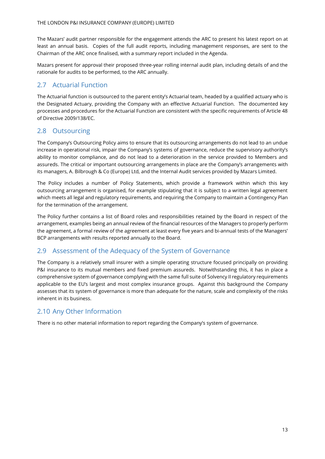The Mazars' audit partner responsible for the engagement attends the ARC to present his latest report on at least an annual basis. Copies of the full audit reports, including management responses, are sent to the Chairman of the ARC once finalised, with a summary report included in the Agenda.

Mazars present for approval their proposed three-year rolling internal audit plan, including details of and the rationale for audits to be performed, to the ARC annually.

## <span id="page-13-0"></span>2.7 Actuarial Function

The Actuarial function is outsourced to the parent entity's Actuarial team, headed by a qualified actuary who is the Designated Actuary, providing the Company with an effective Actuarial Function. The documented key processes and procedures for the Actuarial Function are consistent with the specific requirements of Article 48 of Directive 2009/138/EC.

## <span id="page-13-1"></span>2.8 Outsourcing

The Company's Outsourcing Policy aims to ensure that its outsourcing arrangements do not lead to an undue increase in operational risk, impair the Company's systems of governance, reduce the supervisory authority's ability to monitor compliance, and do not lead to a deterioration in the service provided to Members and assureds. The critical or important outsourcing arrangements in place are the Company's arrangements with its managers, A. Bilbrough & Co (Europe) Ltd, and the Internal Audit services provided by Mazars Limited.

The Policy includes a number of Policy Statements, which provide a framework within which this key outsourcing arrangement is organised, for example stipulating that it is subject to a written legal agreement which meets all legal and regulatory requirements, and requiring the Company to maintain a Contingency Plan for the termination of the arrangement.

The Policy further contains a list of Board roles and responsibilities retained by the Board in respect of the arrangement, examples being an annual review of the financial resources of the Managers to properly perform the agreement, a formal review of the agreement at least every five years and bi-annual tests of the Managers' BCP arrangements with results reported annually to the Board.

### <span id="page-13-2"></span>2.9 Assessment of the Adequacy of the System of Governance

The Company is a relatively small insurer with a simple operating structure focused principally on providing P&I insurance to its mutual members and fixed premium assureds. Notwithstanding this, it has in place a comprehensive system of governance complying with the same full suite of Solvency II regulatory requirements applicable to the EU's largest and most complex insurance groups. Against this background the Company assesses that its system of governance is more than adequate for the nature, scale and complexity of the risks inherent in its business.

## <span id="page-13-3"></span>2.10 Any Other Information

There is no other material information to report regarding the Company's system of governance.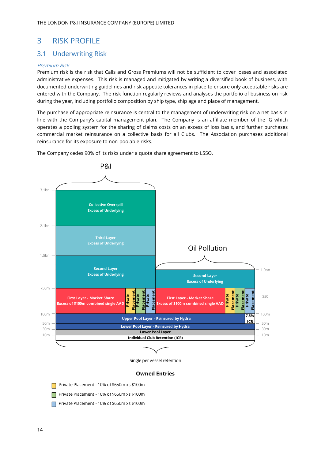## <span id="page-14-0"></span>3 RISK PROFILE

## <span id="page-14-1"></span>3.1 Underwriting Risk

#### Premium Risk

Premium risk is the risk that Calls and Gross Premiums will not be sufficient to cover losses and associated administrative expenses. This risk is managed and mitigated by writing a diversified book of business, with documented underwriting guidelines and risk appetite tolerances in place to ensure only acceptable risks are entered with the Company. The risk function regularly reviews and analyses the portfolio of business on risk during the year, including portfolio composition by ship type, ship age and place of management.

The purchase of appropriate reinsurance is central to the management of underwriting risk on a net basis in line with the Company's capital management plan. The Company is an affiliate member of the IG which operates a pooling system for the sharing of claims costs on an excess of loss basis, and further purchases commercial market reinsurance on a collective basis for all Clubs. The Association purchases additional reinsurance for its exposure to non-poolable risks.



The Company cedes 90% of its risks under a quota share agreement to LSSO.

Single per vessel retention

#### **Owned Entries**

- Private Placement 10% of \$650m xs \$100m
- **Private Placement 10% of \$650m xs \$100m**
- Private Placement 10% of \$650m xs \$100m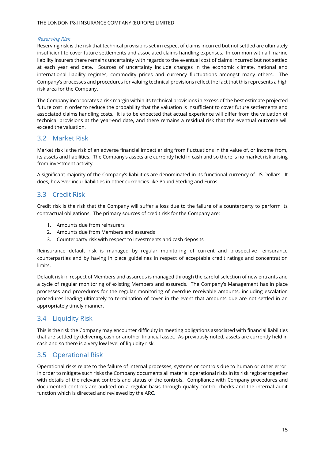#### Reserving Risk

Reserving risk is the risk that technical provisions set in respect of claims incurred but not settled are ultimately insufficient to cover future settlements and associated claims handling expenses. In common with all marine liability insurers there remains uncertainty with regards to the eventual cost of claims incurred but not settled at each year end date. Sources of uncertainty include changes in the economic climate, national and international liability regimes, commodity prices and currency fluctuations amongst many others. The Company's processes and procedures for valuing technical provisions reflect the fact that this represents a high risk area for the Company.

The Company incorporates a risk margin within its technical provisions in excess of the best estimate projected future cost in order to reduce the probability that the valuation is insufficient to cover future settlements and associated claims handling costs. It is to be expected that actual experience will differ from the valuation of technical provisions at the year-end date, and there remains a residual risk that the eventual outcome will exceed the valuation.

### <span id="page-15-0"></span>3.2 Market Risk

Market risk is the risk of an adverse financial impact arising from fluctuations in the value of, or income from, its assets and liabilities. The Company's assets are currently held in cash and so there is no market risk arising from investment activity.

A significant majority of the Company's liabilities are denominated in its functional currency of US Dollars. It does, however incur liabilities in other currencies like Pound Sterling and Euros.

### <span id="page-15-1"></span>3.3 Credit Risk

Credit risk is the risk that the Company will suffer a loss due to the failure of a counterparty to perform its contractual obligations. The primary sources of credit risk for the Company are:

- 1. Amounts due from reinsurers
- 2. Amounts due from Members and assureds
- 3. Counterparty risk with respect to investments and cash deposits

Reinsurance default risk is managed by regular monitoring of current and prospective reinsurance counterparties and by having in place guidelines in respect of acceptable credit ratings and concentration limits.

Default risk in respect of Members and assureds is managed through the careful selection of new entrants and a cycle of regular monitoring of existing Members and assureds. The Company's Management has in place processes and procedures for the regular monitoring of overdue receivable amounts, including escalation procedures leading ultimately to termination of cover in the event that amounts due are not settled in an appropriately timely manner.

## <span id="page-15-2"></span>3.4 Liquidity Risk

This is the risk the Company may encounter difficulty in meeting obligations associated with financial liabilities that are settled by delivering cash or another financial asset. As previously noted, assets are currently held in cash and so there is a very low level of liquidity risk.

## <span id="page-15-3"></span>3.5 Operational Risk

Operational risks relate to the failure of internal processes, systems or controls due to human or other error. In order to mitigate such risks the Company documents all material operational risks in its risk register together with details of the relevant controls and status of the controls. Compliance with Company procedures and documented controls are audited on a regular basis through quality control checks and the internal audit function which is directed and reviewed by the ARC.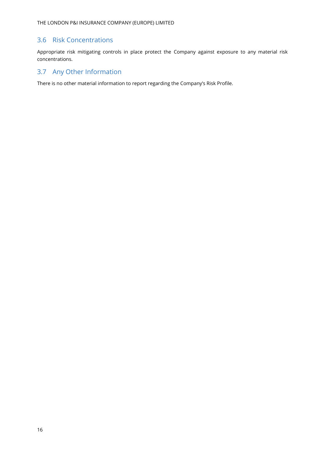## <span id="page-16-0"></span>3.6 Risk Concentrations

Appropriate risk mitigating controls in place protect the Company against exposure to any material risk concentrations.

## <span id="page-16-1"></span>3.7 Any Other Information

There is no other material information to report regarding the Company's Risk Profile.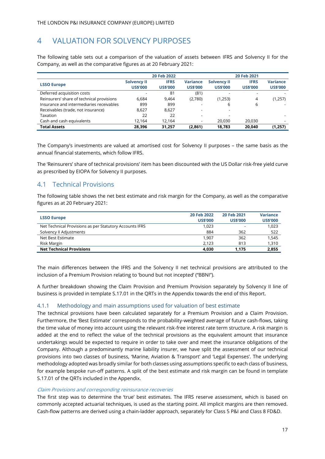## <span id="page-17-0"></span>4 VALUATION FOR SOLVENCY PURPOSES

The following table sets out a comparison of the valuation of assets between IFRS and Solvency II for the Company, as well as the comparative figures as at 20 February 2021:

|                                           |                                       | 20 Feb 2022                    |                                    |                                       | 20 Feb 2021                    |                                    |
|-------------------------------------------|---------------------------------------|--------------------------------|------------------------------------|---------------------------------------|--------------------------------|------------------------------------|
| <b>LSSO Europe</b>                        | <b>Solvency II</b><br><b>US\$'000</b> | <b>IFRS</b><br><b>US\$'000</b> | <b>Variance</b><br><b>US\$'000</b> | <b>Solvency II</b><br><b>US\$'000</b> | <b>IFRS</b><br><b>US\$'000</b> | <b>Variance</b><br><b>US\$'000</b> |
|                                           |                                       |                                |                                    |                                       |                                |                                    |
| Deferred acquisition costs                | $\overline{\phantom{a}}$              | 81                             | (81)                               |                                       |                                |                                    |
| Reinsurers' share of technical provisions | 6.684                                 | 9.464                          | (2,780)                            | (1,253)                               | 4                              | (1,257)                            |
| Insurance and intermediaries receivables  | 899                                   | 899                            |                                    | 6                                     | 6                              |                                    |
| Receivables (trade, not insurance)        | 8.627                                 | 8.627                          |                                    |                                       |                                |                                    |
| Taxation                                  | 22                                    | 22                             |                                    |                                       |                                |                                    |
| Cash and cash equivalents                 | 12.164                                | 12.164                         |                                    | 20.030                                | 20,030                         | -                                  |
| <b>Total Assets</b>                       | 28.396                                | 31.257                         | (2,861)                            | 18.783                                | 20.040                         | (1,257)                            |

The Company's investments are valued at amortised cost for Solvency II purposes – the same basis as the annual financial statements, which follow IFRS.

The 'Reinsurers' share of technical provisions' item has been discounted with the US Dollar risk-free yield curve as prescribed by EIOPA for Solvency II purposes.

## <span id="page-17-1"></span>4.1 Technical Provisions

The following table shows the net best estimate and risk margin for the Company, as well as the comparative figures as at 20 February 2021:

| <b>LSSO Europe</b>                                      | 20 Feb 2022     | 20 Feb 2021              | <b>Variance</b> |
|---------------------------------------------------------|-----------------|--------------------------|-----------------|
|                                                         | <b>US\$'000</b> | <b>US\$'000</b>          | <b>US\$'000</b> |
| Net Technical Provisions as per Statutory Accounts IFRS | 1.023           | $\overline{\phantom{0}}$ | 1,023           |
| Solvency II Adjustments                                 | 884             | 362                      | 522             |
| Net Best Estimate                                       | 1.907           | 362                      | 1.545           |
| Risk Margin                                             | 2.123           | 813                      | 1,310           |
| <b>Net Technical Provisions</b>                         | 4.030           | 1.175                    | 2,855           |

The main differences between the IFRS and the Solvency II net technical provisions are attributed to the inclusion of a Premium Provision relating to 'bound but not incepted' ("BBNI").

A further breakdown showing the Claim Provision and Premium Provision separately by Solvency II line of business is provided in template S.17.01 in the QRTs in the Appendix towards the end of this Report.

#### 4.1.1 Methodology and main assumptions used for valuation of best estimate

The technical provisions have been calculated separately for a Premium Provision and a Claim Provision. Furthermore, the 'Best Estimate' corresponds to the probability-weighted average of future cash-flows, taking the time value of money into account using the relevant risk-free interest rate term structure. A risk margin is added at the end to reflect the value of the technical provisions as the equivalent amount that insurance undertakings would be expected to require in order to take over and meet the insurance obligations of the Company. Although a predominantly marine liability insurer, we have split the assessment of our technical provisions into two classes of business, 'Marine, Aviation & Transport' and 'Legal Expenses'. The underlying methodology adopted was broadly similar for both classes using assumptions specific to each class of business, for example bespoke run-off patterns. A split of the best estimate and risk margin can be found in template S.17.01 of the QRTs included in the Appendix.

#### Claim Provisions and corresponding reinsurance recoveries

The first step was to determine the 'true' best estimates. The IFRS reserve assessment, which is based on commonly accepted actuarial techniques, is used as the starting point. All implicit margins are then removed. Cash-flow patterns are derived using a chain-ladder approach, separately for Class 5 P&I and Class 8 FD&D.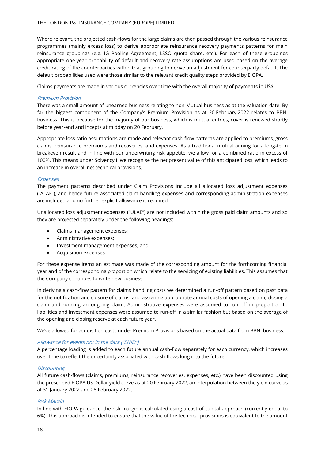Where relevant, the projected cash-flows for the large claims are then passed through the various reinsurance programmes (mainly excess loss) to derive appropriate reinsurance recovery payments patterns for main reinsurance groupings (e.g. IG Pooling Agreement, LSSO quota share, etc.). For each of these groupings appropriate one-year probability of default and recovery rate assumptions are used based on the average credit rating of the counterparties within that grouping to derive an adjustment for counterparty default. The default probabilities used were those similar to the relevant credit quality steps provided by EIOPA.

Claims payments are made in various currencies over time with the overall majority of payments in US\$.

#### Premium Provision

There was a small amount of unearned business relating to non-Mutual business as at the valuation date. By far the biggest component of the Company's Premium Provision as at 20 February 2022 relates to BBNI business. This is because for the majority of our business, which is mutual entries, cover is renewed shortly before year-end and incepts at midday on 20 February.

Appropriate loss ratio assumptions are made and relevant cash-flow patterns are applied to premiums, gross claims, reinsurance premiums and recoveries, and expenses. As a traditional mutual aiming for a long-term breakeven result and in line with our underwriting risk appetite, we allow for a combined ratio in excess of 100%. This means under Solvency II we recognise the net present value of this anticipated loss, which leads to an increase in overall net technical provisions.

#### Expenses

The payment patterns described under Claim Provisions include all allocated loss adjustment expenses ("ALAE"), and hence future associated claim handling expenses and corresponding administration expenses are included and no further explicit allowance is required.

Unallocated loss adjustment expenses ("ULAE") are not included within the gross paid claim amounts and so they are projected separately under the following headings:

- Claims management expenses;
- Administrative expenses;
- Investment management expenses; and
- Acquisition expenses

For these expense items an estimate was made of the corresponding amount for the forthcoming financial year and of the corresponding proportion which relate to the servicing of existing liabilities. This assumes that the Company continues to write new business.

In deriving a cash-flow pattern for claims handling costs we determined a run-off pattern based on past data for the notification and closure of claims, and assigning appropriate annual costs of opening a claim, closing a claim and running an ongoing claim. Administrative expenses were assumed to run off in proportion to liabilities and investment expenses were assumed to run-off in a similar fashion but based on the average of the opening and closing reserve at each future year.

We've allowed for acquisition costs under Premium Provisions based on the actual data from BBNI business.

#### Allowance for events not in the data ("ENID")

A percentage loading is added to each future annual cash-flow separately for each currency, which increases over time to reflect the uncertainty associated with cash-flows long into the future.

#### **Discounting**

All future cash-flows (claims, premiums, reinsurance recoveries, expenses, etc.) have been discounted using the prescribed EIOPA US Dollar yield curve as at 20 February 2022, an interpolation between the yield curve as at 31 January 2022 and 28 February 2022.

#### Risk Margin

In line with EIOPA guidance, the risk margin is calculated using a cost-of-capital approach (currently equal to 6%). This approach is intended to ensure that the value of the technical provisions is equivalent to the amount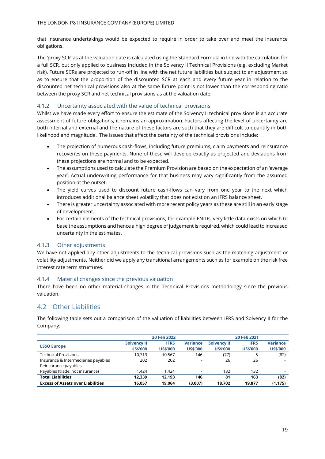that insurance undertakings would be expected to require in order to take over and meet the insurance obligations.

The 'proxy SCR' as at the valuation date is calculated using the Standard Formula in line with the calculation for a full SCR, but only applied to business included in the Solvency II Technical Provisions (e.g. excluding Market risk). Future SCRs are projected to run-off in line with the net future liabilities but subject to an adjustment so as to ensure that the proportion of the discounted SCR at each and every future year in relation to the discounted net technical provisions also at the same future point is not lower than the corresponding ratio between the proxy SCR and net technical provisions as at the valuation date.

#### 4.1.2 Uncertainty associated with the value of technical provisions

Whilst we have made every effort to ensure the estimate of the Solvency II technical provisions is an accurate assessment of future obligations, it remains an approximation. Factors affecting the level of uncertainty are both internal and external and the nature of these factors are such that they are difficult to quantify in both likelihood and magnitude. The issues that affect the certainty of the technical provisions include:

- The projection of numerous cash-flows, including future premiums, claim payments and reinsurance recoveries on these payments. None of these will develop exactly as projected and deviations from these projections are normal and to be expected.
- The assumptions used to calculate the Premium Provision are based on the expectation of an 'average year'. Actual underwriting performance for that business may vary significantly from the assumed position at the outset.
- The yield curves used to discount future cash-flows can vary from one year to the next which introduces additional balance sheet volatility that does not exist on an IFRS balance sheet.
- There is greater uncertainty associated with more recent policy years as these are still in an early stage of development.
- For certain elements of the technical provisions, for example ENIDs, very little data exists on which to base the assumptions and hence a high degree of judgement is required, which could lead to increased uncertainty in the estimates.

#### 4.1.3 Other adjustments

We have not applied any other adjustments to the technical provisions such as the matching adjustment or volatility adjustments. Neither did we apply any transitional arrangements such as for example on the risk free interest rate term structures.

#### 4.1.4 Material changes since the previous valuation

There have been no other material changes in the Technical Provisions methodology since the previous valuation.

### <span id="page-19-0"></span>4.2 Other Liabilities

The following table sets out a comparison of the valuation of liabilities between IFRS and Solvency II for the Company:

|                                          | 20 Feb 2022<br>20 Feb 2021 |                          |                 |                          |                          |                          |
|------------------------------------------|----------------------------|--------------------------|-----------------|--------------------------|--------------------------|--------------------------|
|                                          | <b>Solvency II</b>         | <b>IFRS</b>              | <b>Variance</b> | <b>Solvency II</b>       | <b>IFRS</b>              | <b>Variance</b>          |
| <b>LSSO Europe</b>                       | <b>US\$'000</b>            | <b>US\$'000</b>          | <b>US\$'000</b> | <b>US\$'000</b>          | <b>US\$'000</b>          | <b>US\$'000</b>          |
| <b>Technical Provisions</b>              | 10.713                     | 10.567                   | 146             | (77)                     |                          | (82)                     |
| Insurance & Intermediaries payables      | 202                        | 202                      |                 | 26                       | 26                       |                          |
| Reinsurance payables                     | $\overline{\phantom{a}}$   | $\overline{\phantom{a}}$ |                 | $\overline{\phantom{0}}$ | $\overline{\phantom{0}}$ | $\overline{\phantom{a}}$ |
| Payables (trade, not insurance)          | 1.424                      | 1.424                    |                 | 132                      | 132                      | $\overline{\phantom{0}}$ |
| <b>Total Liabilities</b>                 | 12.339                     | 12.193                   | 146             | 81                       | 163                      | (82)                     |
| <b>Excess of Assets over Liabilities</b> | 16,057                     | 19.064                   | (3,007)         | 18.702                   | 19.877                   | (1, 175)                 |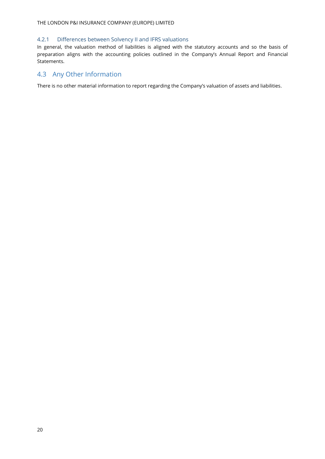#### 4.2.1 Differences between Solvency II and IFRS valuations

In general, the valuation method of liabilities is aligned with the statutory accounts and so the basis of preparation aligns with the accounting policies outlined in the Company's Annual Report and Financial Statements.

## <span id="page-20-0"></span>4.3 Any Other Information

There is no other material information to report regarding the Company's valuation of assets and liabilities.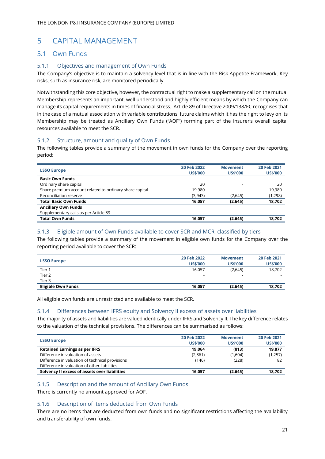## <span id="page-21-0"></span>5 CAPITAL MANAGEMENT

## <span id="page-21-1"></span>5.1 Own Funds

### 5.1.1 Objectives and management of Own Funds

The Company's objective is to maintain a solvency level that is in line with the Risk Appetite Framework. Key risks, such as insurance risk, are monitored periodically.

Notwithstanding this core objective, however, the contractual right to make a supplementary call on the mutual Membership represents an important, well understood and highly efficient means by which the Company can manage its capital requirements in times of financial stress. Article 89 of Directive 2009/138/EC recognises that in the case of a mutual association with variable contributions, future claims which it has the right to levy on its Membership may be treated as Ancillary Own Funds ("AOF") forming part of the insurer's overall capital resources available to meet the SCR.

### 5.1.2 Structure, amount and quality of Own Funds

The following tables provide a summary of the movement in own funds for the Company over the reporting period:

| <b>LSSO Europe</b>                                      | 20 Feb 2022     | <b>Movement</b> | 20 Feb 2021     |
|---------------------------------------------------------|-----------------|-----------------|-----------------|
|                                                         | <b>US\$'000</b> | <b>US\$'000</b> | <b>US\$'000</b> |
| <b>Basic Own Funds</b>                                  |                 |                 |                 |
| Ordinary share capital                                  | 20              |                 | 20              |
| Share premium account related to ordinary share capital | 19.980          |                 | 19,980          |
| Reconciliation reserve                                  | (3,943)         | (2,645)         | (1,298)         |
| <b>Total Basic Own Funds</b>                            | 16,057          | (2,645)         | 18,702          |
| <b>Ancillary Own Funds</b>                              |                 |                 |                 |
| Supplementary calls as per Article 89                   |                 |                 |                 |
| <b>Total Own Funds</b>                                  | 16.057          | (2,645)         | 18,702          |
|                                                         |                 |                 |                 |

### 5.1.3 Eligible amount of Own Funds available to cover SCR and MCR, classified by tiers

The following tables provide a summary of the movement in eligible own funds for the Company over the reporting period available to cover the SCR:

| <b>LSSO Europe</b>        | 20 Feb 2022<br><b>US\$'000</b> | <b>Movement</b><br><b>US\$'000</b> | 20 Feb 2021<br><b>US\$'000</b> |
|---------------------------|--------------------------------|------------------------------------|--------------------------------|
| Tier 1                    | 16,057                         | (2,645)                            | 18,702                         |
| Tier 2                    | $\overline{\phantom{a}}$       | $\qquad \qquad \blacksquare$       | $\overline{\phantom{a}}$       |
| Tier 3                    | $\overline{\phantom{a}}$       | -                                  | $\overline{\phantom{0}}$       |
| <b>Eligible Own Funds</b> | 16.057                         | (2,645)                            | 18,702                         |

All eligible own funds are unrestricted and available to meet the SCR.

### 5.1.4 Differences between IFRS equity and Solvency II excess of assets over liabilities

The majority of assets and liabilities are valued identically under IFRS and Solvency II. The key difference relates to the valuation of the technical provisions. The differences can be summarised as follows:

|                                                 | 20 Feb 2022              | <b>Movement</b> | 20 Feb 2021     |
|-------------------------------------------------|--------------------------|-----------------|-----------------|
| <b>LSSO Europe</b>                              | <b>US\$'000</b>          | <b>US\$'000</b> | <b>US\$'000</b> |
| <b>Retained Earnings as per IFRS</b>            | 19.064                   | (813)           | 19,877          |
| Difference in valuation of assets               | (2,861)                  | (1,604)         | (1,257)         |
| Difference in valuation of technical provisions | (146)                    | (228)           | 82              |
| Difference in valuation of other liabilities    | $\overline{\phantom{a}}$ |                 |                 |
| Solvency II excess of assets over liabilities   | 16.057                   | (2,645)         | 18,702          |

### 5.1.5 Description and the amount of Ancillary Own Funds

There is currently no amount approved for AOF.

### 5.1.6 Description of items deducted from Own Funds

There are no items that are deducted from own funds and no significant restrictions affecting the availability and transferability of own funds.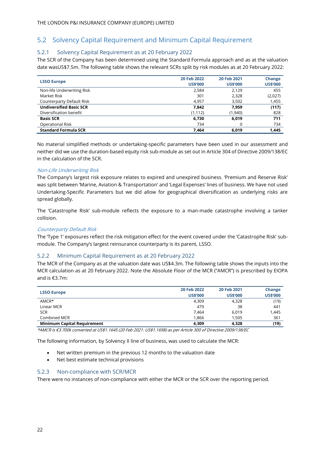## <span id="page-22-0"></span>5.2 Solvency Capital Requirement and Minimum Capital Requirement

#### 5.2.1 Solvency Capital Requirement as at 20 February 2022

The SCR of the Company has been determined using the Standard Formula approach and as at the valuation date wasUS\$7.5m. The following table shows the relevant SCRs split by risk modules as at 20 February 2022:

|                                | 20 Feb 2022     | 20 Feb 2021     | Change          |
|--------------------------------|-----------------|-----------------|-----------------|
| <b>LSSO Europe</b>             | <b>US\$'000</b> | <b>US\$'000</b> | <b>US\$'000</b> |
| Non-life Underwriting Risk     | 2,584           | 2.129           | 455             |
| Market Risk                    | 301             | 2,328           | (2,027)         |
| Counterparty Default Risk      | 4,957           | 3,502           | 1,455           |
| <b>Undiversified Basic SCR</b> | 7,842           | 7,959           | (117)           |
| Diversification benefit        | (1, 112)        | (1,940)         | 828             |
| <b>Basic SCR</b>               | 6,730           | 6,019           | 711             |
| <b>Operational Risk</b>        | 734             | 0               | 734             |
| <b>Standard Formula SCR</b>    | 7.464           | 6,019           | 1,445           |

No material simplified methods or undertaking-specific parameters have been used in our assessment and neither did we use the duration-based equity risk sub-module as set out in Article 304 of Directive 2009/138/EC in the calculation of the SCR.

#### Non-Life Underwriting Risk

The Company's largest risk exposure relates to expired and unexpired business. 'Premium and Reserve Risk' was split between 'Marine, Aviation & Transportation' and 'Legal Expenses' lines of business. We have not used Undertaking-Specific Parameters but we did allow for geographical diversification as underlying risks are spread globally.

The 'Catastrophe Risk' sub-module reflects the exposure to a man-made catastrophe involving a tanker collision.

#### Counterparty Default Risk

The 'Type 1' exposures reflect the risk mitigation effect for the event covered under the 'Catastrophe Risk' submodule. The Company's largest reinsurance counterparty is its parent, LSSO.

#### 5.2.2 Minimum Capital Requirement as at 20 February 2022

The MCR of the Company as at the valuation date was US\$4.3m. The following table shows the inputs into the MCR calculation as at 20 February 2022. Note the Absolute Floor of the MCR ("AMCR") is prescribed by EIOPA and is €3.7m:

|                                    | 20 Feb 2022     | 20 Feb 2021     | <b>Change</b>   |
|------------------------------------|-----------------|-----------------|-----------------|
| <b>LSSO Europe</b>                 | <b>US\$'000</b> | <b>US\$'000</b> | <b>US\$'000</b> |
| AMCR*                              | 4,309           | 4,328           | (19)            |
| Linear MCR                         | 479             | 38              | 441             |
| <b>SCR</b>                         | 7,464           | 6,019           | 1,445           |
| Combined MCR                       | 1,866           | 1.505           | 361             |
| <b>Minimum Capital Requirement</b> | 4,309           | 4,328           | (19)            |

\*AMCR is €3.700k converted at US\$1.1645 (20 Feb 2021: US\$1.1698) as per Article 300 of Directive 2009/138/EC

The following information, by Solvency II line of business, was used to calculate the MCR:

- Net written premium in the previous 12 months to the valuation date
- Net best estimate technical provisions

#### 5.2.3 Non-compliance with SCR/MCR

There were no instances of non-compliance with either the MCR or the SCR over the reporting period.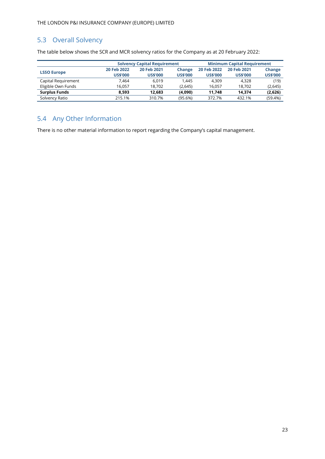## <span id="page-23-0"></span>5.3 Overall Solvency

The table below shows the SCR and MCR solvency ratios for the Company as at 20 February 2022:

|                      |                 | <b>Solvency Capital Requirement</b> |                 |                 | <b>Minimum Capital Requirement</b> |                 |
|----------------------|-----------------|-------------------------------------|-----------------|-----------------|------------------------------------|-----------------|
| <b>LSSO Europe</b>   | 20 Feb 2022     | 20 Feb 2021                         | Change          | 20 Feb 2022     | 20 Feb 2021                        | <b>Change</b>   |
|                      | <b>US\$'000</b> | <b>US\$'000</b>                     | <b>US\$'000</b> | <b>US\$'000</b> | <b>US\$'000</b>                    | <b>US\$'000</b> |
| Capital Requirement  | 7.464           | 6.019                               | 1.445           | 4.309           | 4.328                              | (19)            |
| Eligible Own Funds   | 16.057          | 18.702                              | (2,645)         | 16.057          | 18.702                             | (2,645)         |
| <b>Surplus Funds</b> | 8.593           | 12.683                              | (4,090)         | 11.748          | 14.374                             | (2,626)         |
| Solvency Ratio       | 215.1%          | 310.7%                              | (95.6%)         | 372.7%          | 432.1%                             | (59.4%)         |

## <span id="page-23-1"></span>5.4 Any Other Information

There is no other material information to report regarding the Company's capital management.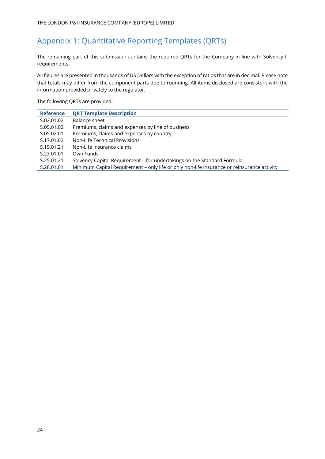## <span id="page-24-0"></span>Appendix 1: Quantitative Reporting Templates (QRTs)

The remaining part of this submission contains the required QRTs for the Company in line with Solvency II requirements.

All figures are presented in thousands of US Dollars with the exception of ratios that are in decimal. Please note that totals may differ from the component parts due to rounding. All items disclosed are consistent with the information provided privately to the regulator.

The following QRTs are provided:

| <b>Reference</b> | <b>QRT Template Description</b>                                                            |
|------------------|--------------------------------------------------------------------------------------------|
| S.02.01.02       | Balance sheet                                                                              |
| S.05.01.02       | Premiums, claims and expenses by line of business                                          |
| S.05.02.01       | Premiums, claims and expenses by country                                                   |
| S.17.01.02       | Non-Life Technical Provisions                                                              |
| S.19.01.21       | Non-Life insurance claims                                                                  |
| S.23.01.01       | Own Funds                                                                                  |
| S.25.01.21       | Solvency Capital Requirement - for undertakings on the Standard Formula                    |
| S.28.01.01       | Minimum Capital Requirement - only life or only non-life insurance or reinsurance activity |
|                  |                                                                                            |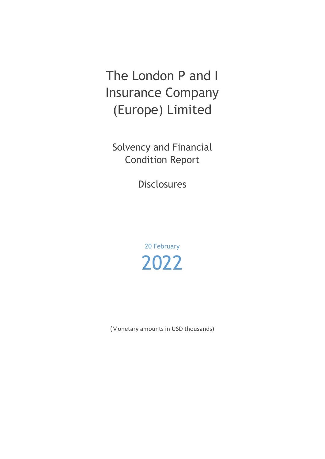# The London P and I Insurance Company (Europe) Limited

Solvency and Financial Condition Report

Disclosures

20 February 2022

(Monetary amounts in USD thousands)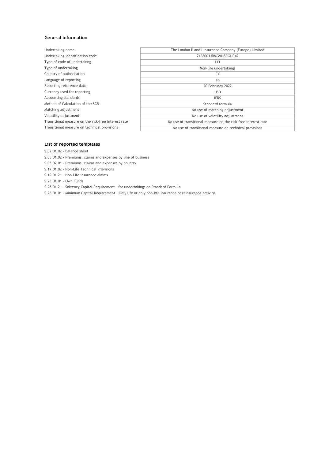#### **General information**

| Undertaking name                                    | The London P and I Insurance Company (Europe) Limited         |
|-----------------------------------------------------|---------------------------------------------------------------|
| Undertaking identification code                     | 2138003JRMGVH8CGUR42                                          |
| Type of code of undertaking                         | LEI                                                           |
| Type of undertaking                                 | Non-life undertakings                                         |
| Country of authorisation                            | CY                                                            |
| Language of reporting                               | en                                                            |
| Reporting reference date                            | 20 February 2022                                              |
| Currency used for reporting                         | USD                                                           |
| Accounting standards                                | <b>IFRS</b>                                                   |
| Method of Calculation of the SCR                    | Standard formula                                              |
| Matching adjustment                                 | No use of matching adjustment                                 |
| Volatility adjustment                               | No use of volatility adjustment                               |
| Transitional measure on the risk-free interest rate | No use of transitional measure on the risk-free interest rate |
| Transitional measure on technical provisions        | No use of transitional measure on technical provisions        |
|                                                     |                                                               |

#### **List of reported templates**

S.02.01.02 - Balance sheet

- S.05.01.02 Premiums, claims and expenses by line of business
- S.05.02.01 Premiums, claims and expenses by country
- S.17.01.02 Non-Life Technical Provisions
- S.19.01.21 Non-Life insurance claims
- S.23.01.01 Own Funds

S.25.01.21 - Solvency Capital Requirement - for undertakings on Standard Formula

S.28.01.01 - Minimum Capital Requirement - Only life or only non-life insurance or reinsurance activity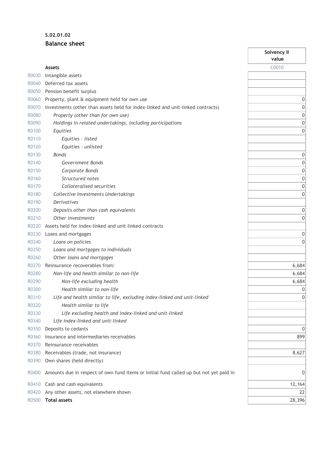## **S.02.01.02 Balance sheet**

|       |                                                                                        | Solvency II<br>value |
|-------|----------------------------------------------------------------------------------------|----------------------|
|       | <b>Assets</b>                                                                          | C0010                |
| R0030 | Intangible assets                                                                      |                      |
| R0040 | Deferred tax assets                                                                    |                      |
| R0050 | Pension benefit surplus                                                                |                      |
| R0060 | Property, plant & equipment held for own use                                           | 0                    |
| R0070 | Investments (other than assets held for index-linked and unit-linked contracts)        | $\mathbf 0$          |
| R0080 | Property (other than for own use)                                                      | $\mathbf 0$          |
| R0090 | Holdings in related undertakings, including participations                             | $\bf 0$              |
| R0100 | Equities                                                                               | 0                    |
| R0110 | Equities - listed                                                                      |                      |
| R0120 | Equities - unlisted                                                                    |                      |
| R0130 | <b>Bonds</b>                                                                           | $\mathbf 0$          |
| R0140 | Government Bonds                                                                       | $\mathbf 0$          |
| R0150 |                                                                                        | $\bf 0$              |
| R0160 | Corporate Bonds<br>Structured notes                                                    | $\bf 0$              |
|       | Collateralised securities                                                              |                      |
| R0170 |                                                                                        | $\mathbf 0$          |
| R0180 | Collective Investments Undertakings                                                    | 0                    |
| R0190 | <b>Derivatives</b>                                                                     |                      |
| R0200 | Deposits other than cash equivalents                                                   | 0                    |
| R0210 | Other investments                                                                      | 0                    |
| R0220 | Assets held for index-linked and unit-linked contracts                                 |                      |
| R0230 | Loans and mortgages                                                                    | 0                    |
| R0240 | Loans on policies                                                                      | $\mathbf 0$          |
| R0250 | Loans and mortgages to individuals                                                     |                      |
| R0260 | Other loans and mortgages                                                              |                      |
| R0270 | Reinsurance recoverables from:                                                         | 6,684                |
| R0280 | Non-life and health similar to non-life                                                | 6,684                |
| R0290 | Non-life excluding health                                                              | 6,684                |
| R0300 | Health similar to non-life                                                             | $\mathbf{0}$         |
| R0310 | Life and health similar to life, excluding index-linked and unit-linked                | $\boldsymbol{0}$     |
| R0320 | Health similar to life                                                                 |                      |
| R0330 | Life excluding health and index-linked and unit-linked                                 |                      |
| R0340 | Life index-linked and unit-linked                                                      |                      |
| R0350 | Deposits to cedants                                                                    | 0                    |
| R0360 | Insurance and intermediaries receivables                                               | 899                  |
| R0370 | Reinsurance receivables                                                                |                      |
| R0380 | Receivables (trade, not insurance)                                                     | 8,627                |
| R0390 | Own shares (held directly)                                                             |                      |
| R0400 | Amounts due in respect of own fund items or initial fund called up but not yet paid in | 0                    |
| R0410 | Cash and cash equivalents                                                              | 12,164               |
| R0420 | Any other assets, not elsewhere shown                                                  | 22                   |
| R0500 | <b>Total assets</b>                                                                    | 28,396               |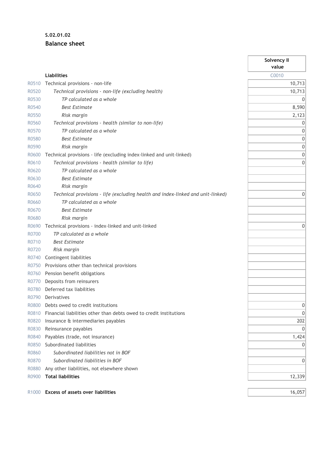## **S.02.01.02 Balance sheet**

|                   |                                                                                 | Solvency II<br>value |
|-------------------|---------------------------------------------------------------------------------|----------------------|
|                   | <b>Liabilities</b>                                                              | C0010                |
| R0510             | Technical provisions - non-life                                                 | 10,713               |
| R0520             | Technical provisions - non-life (excluding health)                              | 10,713               |
| R0530             | TP calculated as a whole                                                        | 0                    |
| R0540             | <b>Best Estimate</b>                                                            | 8,590                |
| R0550             | Risk margin                                                                     | 2,123                |
| R0560             | Technical provisions - health (similar to non-life)                             | 0                    |
| R0570             | TP calculated as a whole                                                        | 0                    |
| R0580             | <b>Best Estimate</b>                                                            | 0                    |
| R0590             | Risk margin                                                                     | $\boldsymbol{0}$     |
| R0600             | Technical provisions - life (excluding index-linked and unit-linked)            | $\mathbf 0$          |
| R0610             | Technical provisions - health (similar to life)                                 | 0                    |
| R0620             | TP calculated as a whole                                                        |                      |
| R0630             | <b>Best Estimate</b>                                                            |                      |
| R0640             | Risk margin                                                                     |                      |
| R0650             | Technical provisions - life (excluding health and index-linked and unit-linked) | 0                    |
| R0660             | TP calculated as a whole                                                        |                      |
| R0670             | <b>Best Estimate</b>                                                            |                      |
| R0680             | Risk margin                                                                     |                      |
| R0690             | Technical provisions - index-linked and unit-linked                             | 0                    |
| R0700             | TP calculated as a whole                                                        |                      |
| R0710             | <b>Best Estimate</b>                                                            |                      |
| R0720             | Risk margin                                                                     |                      |
| R0740             | Contingent liabilities                                                          |                      |
| R0750             | Provisions other than technical provisions                                      |                      |
| R0760             | Pension benefit obligations                                                     |                      |
| R0770             | Deposits from reinsurers                                                        |                      |
| R0780             | Deferred tax liabilities                                                        |                      |
| R0790             | Derivatives                                                                     |                      |
| R0800             | Debts owed to credit institutions                                               | 0                    |
| R0810             | Financial liabilities other than debts owed to credit institutions              | 0                    |
| R0820             | Insurance & intermediaries payables                                             | 202                  |
| R0830             | Reinsurance payables                                                            | 0                    |
| R0840             | Payables (trade, not insurance)                                                 | 1,424                |
| R0850             | Subordinated liabilities                                                        | 0                    |
| R0860             | Subordinated liabilities not in BOF                                             |                      |
| R0870             | Subordinated liabilities in BOF                                                 | 0                    |
| R0880             | Any other liabilities, not elsewhere shown                                      |                      |
| R0900             | <b>Total liabilities</b>                                                        | 12,339               |
| R <sub>1000</sub> | Excess of assets over liabilities                                               | 16,057               |

 $\overline{a}$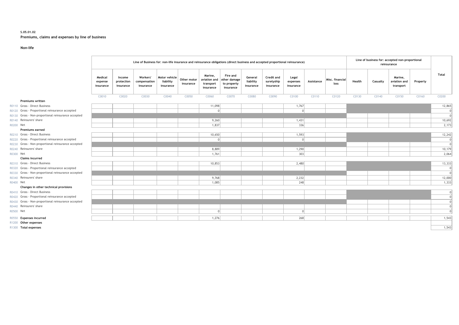#### **S.05.01.02 Premiums, claims and expenses by line of business**

#### **Non-life**

|           |                                                     | Line of Business for: non-life insurance and reinsurance obligations (direct business and accepted proportional reinsurance) |                                   |                                       |                                         |                            |                                                   |                                                             |                                   |                                       |                                | Line of business for: accepted non-proportional<br>reinsurance |                         |        |          |                                      |          |            |
|-----------|-----------------------------------------------------|------------------------------------------------------------------------------------------------------------------------------|-----------------------------------|---------------------------------------|-----------------------------------------|----------------------------|---------------------------------------------------|-------------------------------------------------------------|-----------------------------------|---------------------------------------|--------------------------------|----------------------------------------------------------------|-------------------------|--------|----------|--------------------------------------|----------|------------|
|           |                                                     | Medical<br>expense<br>insurance                                                                                              | Income<br>protection<br>insurance | Workers'<br>compensation<br>insurance | Motor vehicle<br>liability<br>insurance | Other motor  <br>insurance | Marine,<br>aviation and<br>transport<br>insurance | <b>Fire and</b><br>other damage<br>to property<br>insurance | General<br>liability<br>insurance | Credit and<br>suretyship<br>insurance | Legal<br>expenses<br>insurance | Assistance                                                     | Misc. financial<br>loss | Health | Casualty | Marine.<br>aviation and<br>transport | Property | Total      |
|           |                                                     | C0010                                                                                                                        | C0020                             | C0030                                 | C0040                                   | C0050                      | C0060                                             | C0070                                                       | C0080                             | C0090                                 | C0100                          | C0110                                                          | C0120                   | C0130  | C0140    | C0150                                | C0160    | C0200      |
|           | <b>Premiums written</b>                             |                                                                                                                              |                                   |                                       |                                         |                            |                                                   |                                                             |                                   |                                       |                                |                                                                |                         |        |          |                                      |          |            |
|           | R0110 Gross - Direct Business                       |                                                                                                                              |                                   |                                       |                                         |                            | 11,098                                            |                                                             |                                   |                                       | 1,767                          |                                                                |                         |        |          |                                      |          | 12,865     |
|           | R0120 Gross - Proportional reinsurance accepted     |                                                                                                                              |                                   |                                       |                                         |                            | $\Omega$                                          |                                                             |                                   |                                       |                                |                                                                |                         |        |          |                                      |          | $\Omega$   |
|           | R0130 Gross - Non-proportional reinsurance accepted |                                                                                                                              |                                   |                                       |                                         |                            |                                                   |                                                             |                                   |                                       |                                |                                                                |                         |        |          |                                      |          | $\cap$     |
|           | R0140 Reinsurers' share                             |                                                                                                                              |                                   |                                       |                                         |                            | 9,260                                             |                                                             |                                   |                                       | 1,431                          |                                                                |                         |        |          |                                      |          | 10,692     |
| R0200 Net |                                                     |                                                                                                                              |                                   |                                       |                                         |                            | 1,837                                             |                                                             |                                   |                                       | 336                            |                                                                |                         |        |          |                                      |          | 2,173      |
|           | Premiums earned                                     |                                                                                                                              |                                   |                                       |                                         |                            |                                                   |                                                             |                                   |                                       |                                |                                                                |                         |        |          |                                      |          |            |
|           | R0210 Gross - Direct Business                       |                                                                                                                              |                                   |                                       |                                         |                            | 10,650                                            |                                                             |                                   |                                       | 1,593                          |                                                                |                         |        |          |                                      |          | 12,242     |
|           | R0220 Gross - Proportional reinsurance accepted     |                                                                                                                              |                                   |                                       |                                         |                            | $\Omega$                                          |                                                             |                                   |                                       | $\Omega$                       |                                                                |                         |        |          |                                      |          | $\epsilon$ |
|           | R0230 Gross - Non-proportional reinsurance accepted |                                                                                                                              |                                   |                                       |                                         |                            |                                                   |                                                             |                                   |                                       |                                |                                                                |                         |        |          |                                      |          | $\Omega$   |
|           | R0240 Reinsurers' share                             |                                                                                                                              |                                   |                                       |                                         |                            | 8,889                                             |                                                             |                                   |                                       | 1,290                          |                                                                |                         |        |          |                                      |          | 10,179     |
| R0300 Net |                                                     |                                                                                                                              |                                   |                                       |                                         |                            | 1,761                                             |                                                             |                                   |                                       | 303                            |                                                                |                         |        |          |                                      |          | 2,064      |
|           | <b>Claims incurred</b>                              |                                                                                                                              |                                   |                                       |                                         |                            |                                                   |                                                             |                                   |                                       |                                |                                                                |                         |        |          |                                      |          |            |
|           | R0310 Gross - Direct Business                       |                                                                                                                              |                                   |                                       |                                         |                            | 10,853                                            |                                                             |                                   |                                       | 2,480                          |                                                                |                         |        |          |                                      |          | 13,333     |
|           | R0320 Gross - Proportional reinsurance accepted     |                                                                                                                              |                                   |                                       |                                         |                            |                                                   |                                                             |                                   |                                       |                                |                                                                |                         |        |          |                                      |          | $\Omega$   |
|           | R0330 Gross - Non-proportional reinsurance accepted |                                                                                                                              |                                   |                                       |                                         |                            |                                                   |                                                             |                                   |                                       |                                |                                                                |                         |        |          |                                      |          | $\Omega$   |
|           | R0340 Reinsurers' share                             |                                                                                                                              |                                   |                                       |                                         |                            | 9,768                                             |                                                             |                                   |                                       | 2,232                          |                                                                |                         |        |          |                                      |          | 12,000     |
| R0400 Net |                                                     |                                                                                                                              |                                   |                                       |                                         |                            | 1,085                                             |                                                             |                                   |                                       | 248                            |                                                                |                         |        |          |                                      |          | 1,333      |
|           | Changes in other technical provisions               |                                                                                                                              |                                   |                                       |                                         |                            |                                                   |                                                             |                                   |                                       |                                |                                                                |                         |        |          |                                      |          |            |
|           | R0410 Gross - Direct Business                       |                                                                                                                              |                                   |                                       |                                         |                            |                                                   |                                                             |                                   |                                       |                                |                                                                |                         |        |          |                                      |          | 0          |
|           | R0420 Gross - Proportional reinsurance accepted     |                                                                                                                              |                                   |                                       |                                         |                            |                                                   |                                                             |                                   |                                       |                                |                                                                |                         |        |          |                                      |          | $\Omega$   |
|           | R0430 Gross - Non-proportional reinsurance accepted |                                                                                                                              |                                   |                                       |                                         |                            |                                                   |                                                             |                                   |                                       |                                |                                                                |                         |        |          |                                      |          | $\Omega$   |
|           | R0440 Reinsurers' share                             |                                                                                                                              |                                   |                                       |                                         |                            |                                                   |                                                             |                                   |                                       |                                |                                                                |                         |        |          |                                      |          | $\Omega$   |
| R0500 Net |                                                     |                                                                                                                              |                                   |                                       |                                         |                            | $\Omega$                                          |                                                             |                                   |                                       |                                |                                                                |                         |        |          |                                      |          | $\Omega$   |
|           | R0550 Expenses incurred                             |                                                                                                                              |                                   |                                       |                                         |                            | 1,276                                             |                                                             |                                   |                                       | 268                            |                                                                |                         |        |          |                                      |          | 1,543      |
|           | R1200 Other expenses                                |                                                                                                                              |                                   |                                       |                                         |                            |                                                   |                                                             |                                   |                                       |                                |                                                                |                         |        |          |                                      |          |            |
|           | R1300 Total expenses                                |                                                                                                                              |                                   |                                       |                                         |                            |                                                   |                                                             |                                   |                                       |                                |                                                                |                         |        |          |                                      |          | 1,543      |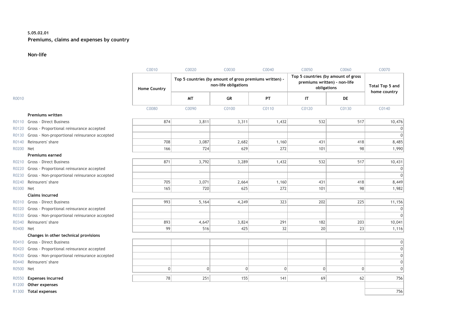#### **S.05.02.01 Premiums, claims and expenses by country**

#### **Non-life**

|           |                                               | C0010               | C0020                                                   | C0030                | C0040    | C <sub>0050</sub>                                                                  | C0060          | C0070                                  |
|-----------|-----------------------------------------------|---------------------|---------------------------------------------------------|----------------------|----------|------------------------------------------------------------------------------------|----------------|----------------------------------------|
|           |                                               | <b>Home Country</b> | Top 5 countries (by amount of gross premiums written) - | non-life obligations |          | Top 5 countries (by amount of gross<br>premiums written) - non-life<br>obligations |                | <b>Total Top 5 and</b><br>home country |
| R0010     |                                               |                     | <b>MT</b>                                               | GR                   | PT       | IT                                                                                 | <b>DE</b>      |                                        |
|           |                                               | C0080               | C0090                                                   | C0100                | C0110    | C0120                                                                              | C0130          | C0140                                  |
|           | <b>Premiums written</b>                       |                     |                                                         |                      |          |                                                                                    |                |                                        |
| R0110     | <b>Gross - Direct Business</b>                | 874                 | 3,811                                                   | 3,311                | 1,432    | 532                                                                                | 517            | 10,476                                 |
| R0120     | Gross - Proportional reinsurance accepted     |                     |                                                         |                      |          |                                                                                    |                | $\Omega$                               |
| R0130     | Gross - Non-proportional reinsurance accepted |                     |                                                         |                      |          |                                                                                    |                | $\Omega$                               |
| R0140     | Reinsurers' share                             | 708                 | 3,087                                                   | 2,682                | 1,160    | 431                                                                                | 418            | 8,485                                  |
| R0200     | Net                                           | 166                 | 724                                                     | 629                  | 272      | 101                                                                                | 98             | 1,990                                  |
|           | <b>Premiums earned</b>                        |                     |                                                         |                      |          |                                                                                    |                |                                        |
| R0210     | <b>Gross - Direct Business</b>                | 871                 | 3,792                                                   | 3,289                | 1,432    | 532                                                                                | 517            | 10,431                                 |
| R0220     | Gross - Proportional reinsurance accepted     |                     |                                                         |                      |          |                                                                                    |                | $\Omega$                               |
| R0230     | Gross - Non-proportional reinsurance accepted |                     |                                                         |                      |          |                                                                                    |                | $\Omega$                               |
| R0240     | Reinsurers' share                             | 705                 | 3,071                                                   | 2,664                | 1,160    | 431                                                                                | 418            | 8,449                                  |
| R0300     | Net                                           | 165                 | 720                                                     | 625                  | 272      | 101                                                                                | 98             | 1,982                                  |
|           | <b>Claims incurred</b>                        |                     |                                                         |                      |          |                                                                                    |                |                                        |
| R0310     | <b>Gross - Direct Business</b>                | 993                 | 5,164                                                   | 4,249                | 323      | 202                                                                                | 225            | 11,156                                 |
| R0320     | Gross - Proportional reinsurance accepted     |                     |                                                         |                      |          |                                                                                    |                | 0                                      |
| R0330     | Gross - Non-proportional reinsurance accepted |                     |                                                         |                      |          |                                                                                    |                | $\Omega$                               |
| R0340     | Reinsurers' share                             | 893                 | 4,647                                                   | 3,824                | 291      | 182                                                                                | 203            | 10,041                                 |
| R0400     | Net                                           | 99                  | 516                                                     | 425                  | 32       | 20                                                                                 | 23             | 1,116                                  |
|           | Changes in other technical provisions         |                     |                                                         |                      |          |                                                                                    |                |                                        |
| R0410     | <b>Gross - Direct Business</b>                |                     |                                                         |                      |          |                                                                                    |                | 0                                      |
| R0420     | Gross - Proportional reinsurance accepted     |                     |                                                         |                      |          |                                                                                    |                | 0                                      |
| R0430     | Gross - Non-proportional reinsurance accepted |                     |                                                         |                      |          |                                                                                    |                | 0                                      |
| R0440     | Reinsurers' share                             |                     |                                                         |                      |          |                                                                                    |                | 0                                      |
| R0500 Net |                                               | $\mathbf 0$         | 0                                                       | 0                    | $\Omega$ | 0                                                                                  | $\overline{0}$ | 0                                      |
| R0550     | <b>Expenses incurred</b>                      | 78                  | 251                                                     | 155                  | 141      | 69                                                                                 | 62             | 756                                    |
| R1200     | Other expenses                                |                     |                                                         |                      |          |                                                                                    |                |                                        |
|           | R1300 Total expenses                          |                     |                                                         |                      |          |                                                                                    |                | 756                                    |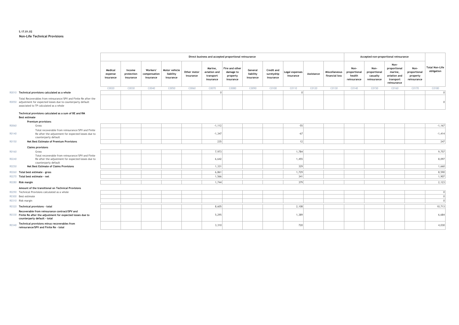#### **S.17.01.02 Non-Life Technical Provisions**

|       |                                                                                                                                                                               |                                 | Direct business and accepted proportional reinsurance |                                       |                                         |                          |                                                   |                                                      |                                   |                                       |                             |            | Accepted non-proportional reinsurance |                                               |                                                 |                                                                             |                                                 |                                     |
|-------|-------------------------------------------------------------------------------------------------------------------------------------------------------------------------------|---------------------------------|-------------------------------------------------------|---------------------------------------|-----------------------------------------|--------------------------|---------------------------------------------------|------------------------------------------------------|-----------------------------------|---------------------------------------|-----------------------------|------------|---------------------------------------|-----------------------------------------------|-------------------------------------------------|-----------------------------------------------------------------------------|-------------------------------------------------|-------------------------------------|
|       |                                                                                                                                                                               | Medical<br>expense<br>insurance | Income<br>protection<br>insurance                     | Workers'<br>compensation<br>insurance | Motor vehicle<br>liability<br>insurance | Other motor<br>insurance | Marine.<br>aviation and<br>transport<br>insurance | Fire and other<br>damage to<br>property<br>insurance | General<br>liability<br>insurance | Credit and<br>suretyship<br>insurance | Legal expenses<br>insurance | Assistance | Miscellaneous<br>financial loss       | Non-<br>proportional<br>health<br>reinsurance | Non-<br>proportional<br>casualty<br>reinsurance | Non-<br>proportional<br>marine,<br>aviation and<br>transport<br>reinsurance | Non-<br>proportional<br>property<br>reinsurance | <b>Total Non-Life</b><br>obligation |
|       |                                                                                                                                                                               | C0020                           | C0030                                                 | C0040                                 | C0050                                   | C0060                    | C0070                                             | C0080                                                | C0090                             | C0100                                 | C0110                       | C0120      | C0130                                 | C0140                                         | C0150                                           | C0160                                                                       | C0170                                           | C0180                               |
|       | R0010 Technical provisions calculated as a whole                                                                                                                              |                                 |                                                       |                                       |                                         |                          | $\Omega$                                          |                                                      |                                   |                                       | $\cap$                      |            |                                       |                                               |                                                 |                                                                             |                                                 |                                     |
|       | Total Recoverables from reinsurance/SPV and Finite Re after the<br>R0050 adjustment for expected losses due to counterparty default<br>associated to TP calculated as a whole |                                 |                                                       |                                       |                                         |                          |                                                   |                                                      |                                   |                                       |                             |            |                                       |                                               |                                                 |                                                                             |                                                 |                                     |
|       | Technical provisions calculated as a sum of BE and RM                                                                                                                         |                                 |                                                       |                                       |                                         |                          |                                                   |                                                      |                                   |                                       |                             |            |                                       |                                               |                                                 |                                                                             |                                                 |                                     |
|       | <b>Best estimate</b>                                                                                                                                                          |                                 |                                                       |                                       |                                         |                          |                                                   |                                                      |                                   |                                       |                             |            |                                       |                                               |                                                 |                                                                             |                                                 |                                     |
|       | Premium provisions                                                                                                                                                            |                                 |                                                       |                                       |                                         |                          |                                                   |                                                      |                                   |                                       |                             |            |                                       |                                               |                                                 |                                                                             |                                                 |                                     |
| R0060 | Gross                                                                                                                                                                         |                                 |                                                       |                                       |                                         |                          | $-1,112$                                          |                                                      |                                   |                                       | $-55$                       |            |                                       |                                               |                                                 |                                                                             |                                                 | $-1,167$                            |
| R0140 | Total recoverable from reinsurance/SPV and Finite<br>Re after the adjustment for expected losses due to<br>counterparty default                                               |                                 |                                                       |                                       |                                         |                          | $-1,347$                                          |                                                      |                                   |                                       | $-67$                       |            |                                       |                                               |                                                 |                                                                             |                                                 | $-1,414$                            |
| R0150 | Net Best Estimate of Premium Provisions                                                                                                                                       |                                 |                                                       |                                       |                                         |                          | 235                                               |                                                      |                                   |                                       | 12                          |            |                                       |                                               |                                                 |                                                                             |                                                 | 247                                 |
|       | <b>Claims provisions</b>                                                                                                                                                      |                                 |                                                       |                                       |                                         |                          |                                                   |                                                      |                                   |                                       |                             |            |                                       |                                               |                                                 |                                                                             |                                                 |                                     |
| R0160 | Gross                                                                                                                                                                         |                                 |                                                       |                                       |                                         |                          | 7,973                                             |                                                      |                                   |                                       | 1,784                       |            |                                       |                                               |                                                 |                                                                             |                                                 | 9,757                               |
| R0240 | Total recoverable from reinsurance/SPV and Finite<br>Re after the adjustment for expected losses due to                                                                       |                                 |                                                       |                                       |                                         |                          | 6,642                                             |                                                      |                                   |                                       | 1,455                       |            |                                       |                                               |                                                 |                                                                             |                                                 | 8,097                               |
| R0250 | counterparty default<br><b>Net Best Estimate of Claims Provisions</b>                                                                                                         |                                 |                                                       |                                       |                                         |                          | 1,331                                             |                                                      |                                   |                                       | 329                         |            |                                       |                                               |                                                 |                                                                             |                                                 | 1,660                               |
|       | R0260 Total best estimate - gross                                                                                                                                             |                                 |                                                       |                                       |                                         |                          | 6,861                                             |                                                      |                                   |                                       | 1,729                       |            |                                       |                                               |                                                 |                                                                             |                                                 | 8,590                               |
|       | R0270 Total best estimate - net                                                                                                                                               |                                 |                                                       |                                       |                                         |                          | 1,566                                             |                                                      |                                   |                                       | 341                         |            |                                       |                                               |                                                 |                                                                             |                                                 | 1,907                               |
|       | R0280 Risk margin                                                                                                                                                             |                                 |                                                       |                                       |                                         |                          | 1,744                                             |                                                      |                                   |                                       | 379                         |            |                                       |                                               |                                                 |                                                                             |                                                 | 2,123                               |
|       |                                                                                                                                                                               |                                 |                                                       |                                       |                                         |                          |                                                   |                                                      |                                   |                                       |                             |            |                                       |                                               |                                                 |                                                                             |                                                 |                                     |
|       | Amount of the transitional on Technical Provisions                                                                                                                            |                                 |                                                       |                                       |                                         |                          |                                                   |                                                      |                                   |                                       |                             |            |                                       |                                               |                                                 |                                                                             |                                                 |                                     |
|       | R0290 Technical Provisions calculated as a whole                                                                                                                              |                                 |                                                       |                                       |                                         |                          |                                                   |                                                      |                                   |                                       |                             |            |                                       |                                               |                                                 |                                                                             |                                                 | $\Omega$<br>$\Omega$                |
|       | R0300 Best estimate<br>R0310 Risk margin                                                                                                                                      |                                 |                                                       |                                       |                                         |                          |                                                   |                                                      |                                   |                                       |                             |            |                                       |                                               |                                                 |                                                                             |                                                 | $\Omega$                            |
|       |                                                                                                                                                                               |                                 |                                                       |                                       |                                         |                          |                                                   |                                                      |                                   |                                       |                             |            |                                       |                                               |                                                 |                                                                             |                                                 |                                     |
|       | R0320 Technical provisions - total                                                                                                                                            |                                 |                                                       |                                       |                                         |                          | 8,605                                             |                                                      |                                   |                                       | 2,108                       |            |                                       |                                               |                                                 |                                                                             |                                                 | 10,713                              |
|       | Recoverable from reinsurance contract/SPV and<br>R0330 Finite Re after the adjustment for expected losses due to<br>counterparty default - total                              |                                 |                                                       |                                       |                                         |                          | 5,295                                             |                                                      |                                   |                                       | 1,389                       |            |                                       |                                               |                                                 |                                                                             |                                                 | 6,684                               |
| R0340 | Technical provisions minus recoverables from<br>reinsurance/SPV and Finite Re - total                                                                                         |                                 |                                                       |                                       |                                         |                          | 3,310                                             |                                                      |                                   |                                       | 720                         |            |                                       |                                               |                                                 |                                                                             |                                                 | 4,030                               |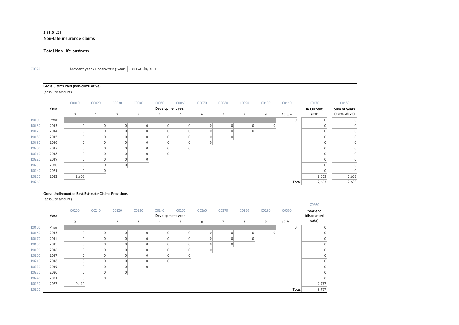#### **S.19.01.21 Non-Life insurance claims**

#### **Total Non-life business**

Z0020 **Accident year / underwriting year**  Underwriting Year

|       |                   | Gross Claims Paid (non-cumulative) |       |              |       |                  |                |       |                |       |       |                  |            |              |
|-------|-------------------|------------------------------------|-------|--------------|-------|------------------|----------------|-------|----------------|-------|-------|------------------|------------|--------------|
|       | (absolute amount) |                                    |       |              |       |                  |                |       |                |       |       |                  |            |              |
|       |                   | C0010                              | C0020 | C0030        | C0040 | C0050            | C0060          | C0070 | C0080          | C0090 | C0100 | C0110            | C0170      | C0180        |
|       | Year              |                                    |       |              |       | Development year |                |       |                |       |       |                  | In Current | Sum of years |
|       |                   | $\mathbf 0$                        |       | $\mathbf{2}$ | 3     | $\overline{4}$   | 5              | 6     | $\overline{7}$ | 8     | 9     | $10E +$          | year       | (cumulative) |
| R0100 | Prior             |                                    |       |              |       |                  |                |       |                |       |       | $\boldsymbol{0}$ | 0          |              |
| R0160 | 2013              | 0                                  |       | $\Omega$     | 0     | 0                | $\overline{0}$ | 0     | $\overline{0}$ |       | 0     |                  | 0          |              |
| R0170 | 2014              | 0                                  |       |              | 0     |                  | 0              | 0     | $\overline{0}$ |       |       |                  | 0          |              |
| R0180 | 2015              | 0                                  |       |              | 0     |                  | 0              | 0     | $\overline{0}$ |       |       |                  | 0          |              |
| R0190 | 2016              | 0                                  |       |              | 0     |                  | $\mathbf 0$    | 0     |                |       |       |                  | 0          | $\mathbf{0}$ |
| R0200 | 2017              | 0                                  |       |              | 0     |                  | $\overline{0}$ |       |                |       |       |                  | 0          | $\Omega$     |
| R0210 | 2018              | 0                                  |       | 0            | 0     |                  |                |       |                |       |       |                  | 0          | $\Omega$     |
| R0220 | 2019              | 0                                  |       |              | 0     |                  |                |       |                |       |       |                  | $\Omega$   | $\Omega$     |
| R0230 | 2020              | 0                                  |       |              |       |                  |                |       |                |       |       |                  | $\Omega$   | $\Omega$     |
| R0240 | 2021              | $\Omega$                           |       |              |       |                  |                |       |                |       |       |                  | $\Omega$   | $\Omega$     |
| R0250 | 2022              | 2,603                              |       |              |       |                  |                |       |                |       |       |                  | 2,603      | 2,603        |
| R0260 |                   |                                    |       |              |       |                  |                |       |                |       |       | <b>Total</b>     | 2,603      | 2,603        |

|       |                   | <b>Gross Undiscounted Best Estimate Claims Provisions</b> |                |                |                |                  |                |       |                |                |       |                |             |
|-------|-------------------|-----------------------------------------------------------|----------------|----------------|----------------|------------------|----------------|-------|----------------|----------------|-------|----------------|-------------|
|       | (absolute amount) |                                                           |                |                |                |                  |                |       |                |                |       |                |             |
|       |                   |                                                           |                |                |                |                  |                |       |                |                |       |                | C0360       |
|       |                   | C0200                                                     | C0210          | C0220          | C0230          | C0240            | C0250          | C0260 | C0270          | C0280          | C0290 | C0300          | Year end    |
|       | Year              |                                                           |                |                |                | Development year |                |       |                |                |       |                | (discounted |
|       |                   | $\mathbf 0$                                               | $\mathbf{1}$   | $\mathbf{2}$   | 3              | $\overline{4}$   | 5              | 6     | $\overline{7}$ | 8              | 9     | $10E +$        | data)       |
| R0100 | Prior             |                                                           |                |                |                |                  |                |       |                |                |       | $\overline{0}$ |             |
| R0160 | 2013              | $\Omega$                                                  | $\overline{0}$ | 0              | $\overline{0}$ | 0                | $\overline{0}$ | 0     | 0              | 01             | 0     |                |             |
| R0170 | 2014              | $\Omega$                                                  | 0              | $\overline{0}$ | $\Omega$       | $\Omega$         | $\overline{0}$ |       | $\mathbf{0}$   | $\overline{0}$ |       |                |             |
| R0180 | 2015              |                                                           | O              | $\overline{0}$ | $\Omega$       | $\Omega$         | $\overline{0}$ |       | 0              |                |       |                |             |
| R0190 | 2016              |                                                           |                | 0              | $\Omega$       | $\Omega$         | $\overline{0}$ |       |                |                |       |                |             |
| R0200 | 2017              |                                                           | 0              | 0              | $\Omega$       | $\overline{0}$   | 0              |       |                |                |       |                |             |
| R0210 | 2018              | $\Omega$                                                  | 0              | 0              | $\overline{0}$ | 0                |                |       |                |                |       |                |             |
| R0220 | 2019              | $\Omega$                                                  | 0              | 0              | $\overline{0}$ |                  |                |       |                |                |       |                |             |
| R0230 | 2020              |                                                           |                | 0              |                |                  |                |       |                |                |       |                |             |
| R0240 | 2021              | $\Omega$                                                  | 0              |                |                |                  |                |       |                |                |       |                |             |
| R0250 | 2022              | 10, 120                                                   |                |                |                |                  |                |       |                |                |       |                | 9,757       |
| R0260 |                   |                                                           |                |                |                |                  |                |       |                |                |       | <b>Total</b>   | 9,757       |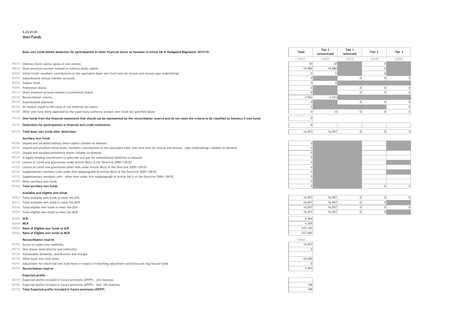#### **S.23.01.01 Own Funds**

#### **Basic own funds before deduction for participations in other financial sector as foreseen in article 68 of Delegated Regulation 2015/35 Total Tier 1**

- R0010 Ordinary share capital (gross of own shares)
- R0030 Share premium account related to ordinary share capital
- R0040 Initial funds, members' contributions or the equivalent basic own-fund item for mutual and mutual-type undertakings
- $R0050$  Subordinated mutual member accounts
- 
- 
- R0110 Share premium account related to preference shares
- R0130 Reconciliation reserve
- 
- R0160 An amount equal to the value of net deferred tax assets
- R0180 Other own fund items approved by the supervisory authority as basic own funds not specified above

#### R0230 **Deductions for participations in financial and credit institutions** 0

#### **Ancillary own funds**

- R0300 Unpaid and uncalled ordinary share capital callable on demand 0
- R0310 Unpaid and uncalled initial funds, members' contributions or the equivalent basic own fund item for mutual and mutual type undertakings, callable on demand 0
- R0320 Unpaid and uncalled preference shares callable on demand 0
- R0330 A legally binding commitment to subscribe and pay for subordinated liabilities on demand 0
- R0340 Letters of credit and guarantees under Article 96(2) of the Directive 2009/138/EC 0
- R0350 Letters of credit and guarantees other than under Article 96(2) of the Directive 2009/138/EC 0
- R0360 Supplementary members calls under first subparagraph of Article 96(3) of the Directive 2009/138/EC 0
- R0370 Supplementary members calls other than under first subparagraph of Article 96(3) of the Directive 2009/138/EC 009/138/EC
- R0390 Other ancillary own funds 0
- 

#### **Available and eligible own funds**

- R0500 Total available own funds to meet the SCR
- R0510 Total available own funds to meet the MCR
- R0540 Total eligible own funds to meet the SCR
- R0550 Total eligible own funds to meet the MCR

#### R0620 **Ratio of Eligible own funds to SCR** 215.14% **Properties and Eligibity Control 215.14%**

R0640 **Ratio of Eligible own funds to MCR** 372.68%

#### **Reconcilliation reserve** C0060

- R0700 Excess of assets over liabilities 16,057
- R0710 Own shares (held directly and indirectly) 0
- R0720 Foreseeable dividends, distributions and charges
- R0730 Other basic own fund items 20,000
- R0740 Adjustment for restricted own fund items in respect of matching adjustment portfolios and ring fenced funds 000 and ring fermed funds 000 and ring fenced funds 000 and ring fenced funds 000 and ring fenced funds 000
- R0760 **Reconciliation reserve**  $-3,943$

#### **Expected profits**

- R0770 Expected profits included in future premiums (EPIFP) Life business
- R0780 Expected profits included in future premiums (EPIFP) Non- life business 108
- R0790 **Total Expected profits included in future premiums (EPIFP)** 108

| Basic own funds before deduction for participations in other financial sector as foreseen in article 68 of Delegated Regulation 2015/35                                           | Total    | Tier 1<br>unrestricted | Tier 1<br>restricted | Tier 2 | Tier 3 |
|-----------------------------------------------------------------------------------------------------------------------------------------------------------------------------------|----------|------------------------|----------------------|--------|--------|
|                                                                                                                                                                                   | C0010    | C0020                  | C0030                | C0040  | C0050  |
| R0010 Ordinary share capital (gross of own shares)                                                                                                                                | 20       | 20                     |                      |        |        |
| R0030 Share premium account related to ordinary share capital                                                                                                                     | 19,980   | 19,980                 |                      |        |        |
| R0040 Initial funds, members' contributions or the equivalent basic own-fund item for mutual and mutual-type undertakings                                                         |          |                        |                      |        |        |
| R0050 Subordinated mutual member accounts                                                                                                                                         |          |                        |                      |        |        |
| R0070 Surplus funds                                                                                                                                                               |          |                        |                      |        |        |
| R0090 Preference shares                                                                                                                                                           |          |                        |                      |        |        |
| R0110 Share premium account related to preference shares                                                                                                                          |          |                        |                      |        |        |
| R0130 Reconciliation reserve                                                                                                                                                      | $-3,943$ | $-3,943$               |                      |        |        |
| R0140 Subordinated liabilities                                                                                                                                                    |          |                        |                      |        |        |
| R0160 An amount equal to the value of net deferred tax assets                                                                                                                     |          |                        |                      |        |        |
| R0180 Other own fund items approved by the supervisory authority as basic own funds not specified above                                                                           |          |                        |                      |        |        |
| R0220 Own funds from the financial statements that should not be represented by the reconciliation reserve and do not meet the criteria to be classified as Solvency II own funds |          |                        |                      |        |        |
| R0230 Deductions for participations in financial and credit institutions                                                                                                          |          |                        |                      |        |        |
| R0290 Total basic own funds after deductions                                                                                                                                      | 16,057   | 16,057                 |                      |        |        |



| U | 16,057 | 16,057 |
|---|--------|--------|
| 0 | 16,057 | 16,057 |
| υ | 16,057 | 16,057 |
| 0 | 16,057 | 16,057 |
|   |        |        |





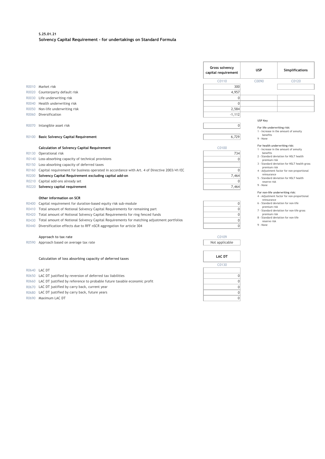#### **S.25.01.21 Solvency Capital Requirement - for undertakings on Standard Formula**

|       |                                                                                             | <b>Gross solvency</b><br>capital requirement | <b>USP</b>                      | Simplifications                              |
|-------|---------------------------------------------------------------------------------------------|----------------------------------------------|---------------------------------|----------------------------------------------|
|       |                                                                                             | C0110                                        | C0090                           | C0120                                        |
|       | R0010 Market risk                                                                           | 300                                          |                                 |                                              |
| R0020 | Counterparty default risk                                                                   | 4,957                                        |                                 |                                              |
| R0030 | Life underwriting risk                                                                      | $\mathbf{0}$                                 |                                 |                                              |
| R0040 | Health underwriting risk                                                                    | $\mathbf{0}$                                 |                                 |                                              |
| R0050 | Non-life underwriting risk                                                                  | 2,584                                        |                                 |                                              |
| R0060 | Diversification                                                                             | $-1,112$                                     |                                 |                                              |
|       |                                                                                             |                                              | USP Key                         |                                              |
| R0070 | Intangible asset risk                                                                       | $\mathbf{0}$                                 | For life underwriting risk:     |                                              |
|       |                                                                                             |                                              |                                 | 1 - Increase in the amount of annuity        |
| R0100 | <b>Basic Solvency Capital Requirement</b>                                                   | 6,729                                        | benefits<br>9 - None            |                                              |
|       |                                                                                             |                                              | For health underwriting risk;   |                                              |
|       | <b>Calculation of Solvency Capital Requirement</b>                                          | C0100                                        |                                 | 1 - Increase in the amount of annuity        |
| R0130 | Operational risk                                                                            | 734                                          | benefits                        | 2 - Standard deviation for NSLT health       |
| R0140 | Loss-absorbing capacity of technical provisions                                             | $\mathbf{0}$                                 | premium risk                    |                                              |
| R0150 | Loss-absorbing capacity of deferred taxes                                                   |                                              | premium risk                    | 3 - Standard deviation for NSLT health gross |
| R0160 | Capital requirement for business operated in accordance with Art. 4 of Directive 2003/41/EC | $\mathbf{0}$                                 |                                 | 4 - Adjustment factor for non-proportional   |
| R0200 | Solvency Capital Requirement excluding capital add-on                                       | 7,464                                        | reinsurance                     | 5 - Standard deviation for NSLT health       |
| R0210 | Capital add-ons already set                                                                 | $\Omega$                                     | reserve risk                    |                                              |
| R0220 | Solvency capital requirement                                                                | 7,464                                        | 9 - None                        |                                              |
|       |                                                                                             |                                              | For non-life underwriting risk: |                                              |
|       | Other information on SCR                                                                    |                                              | reinsurance                     | 4 - Adjustment factor for non-proportional   |
| R0400 | Capital requirement for duration-based equity risk sub-module                               | $\mathbf{0}$                                 | premium risk                    | 6 - Standard deviation for non-life          |
| R0410 | Total amount of Notional Solvency Capital Requirements for remaining part                   | $\mathbf{0}$                                 |                                 | 7 - Standard deviation for non-life gross    |
| R0420 | Total amount of Notional Solvency Capital Requirements for ring fenced funds                | $\mathbf 0$                                  | premium risk                    | 8 - Standard deviation for non-life          |
| R0430 | Total amount of Notional Solvency Capital Requirements for matching adjustment portfolios   | $\mathbf{0}$                                 | reserve risk                    |                                              |
| R0440 | Diversification effects due to RFF nSCR aggregation for article 304                         | $\mathbf 0$                                  | 9 - None                        |                                              |
|       |                                                                                             |                                              |                                 |                                              |
|       | Approach to tax rate                                                                        | C0109                                        |                                 |                                              |
| R0590 | Approach based on average tax rate                                                          | Not applicable                               |                                 |                                              |
|       |                                                                                             |                                              |                                 |                                              |
|       | Calculation of loss absorbing capacity of deferred taxes                                    | <b>LAC DT</b>                                |                                 |                                              |
|       |                                                                                             | C0130                                        |                                 |                                              |
|       | R0640 LAC DT                                                                                |                                              |                                 |                                              |
| R0650 | LAC DT justified by reversion of deferred tax liabilities                                   | $\mathbf 0$                                  |                                 |                                              |
| R0660 | LAC DT justified by reference to probable future taxable economic profit                    | $\mathbf 0$                                  |                                 |                                              |
| R0670 | LAC DT justified by carry back, current year                                                | $\mathbf 0$                                  |                                 |                                              |
| R0680 | LAC DT justified by carry back, future years                                                | $\mathbf{0}$                                 |                                 |                                              |
|       | R0690 Maximum LAC DT                                                                        | $\mathbf{0}$                                 |                                 |                                              |
|       |                                                                                             |                                              |                                 |                                              |

- 
- R0690 Maximum LAC DT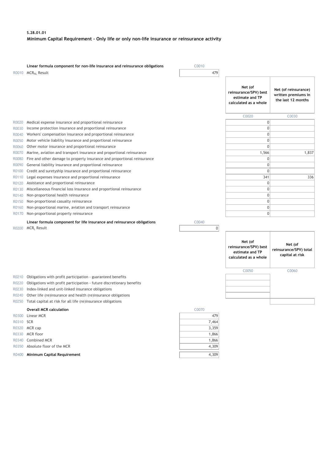#### **S.28.01.01 Minimum Capital Requirement - Only life or only non-life insurance or reinsurance activity**

|           | Linear formula component for non-life insurance and reinsurance obligations | C0010 |                                                                              |                                                                   |
|-----------|-----------------------------------------------------------------------------|-------|------------------------------------------------------------------------------|-------------------------------------------------------------------|
|           | R0010 MCR <sub>NL</sub> Result                                              | 479   |                                                                              |                                                                   |
|           |                                                                             |       | Net (of<br>reinsurance/SPV) best<br>estimate and TP<br>calculated as a whole | Net (of reinsurance)<br>written premiums in<br>the last 12 months |
|           |                                                                             |       | C0020                                                                        | C0030                                                             |
| R0020     | Medical expense insurance and proportional reinsurance                      |       | $\overline{0}$                                                               |                                                                   |
| R0030     | Income protection insurance and proportional reinsurance                    |       | $\mathbf 0$                                                                  |                                                                   |
| R0040     | Workers' compensation insurance and proportional reinsurance                |       | $\mathbf 0$                                                                  |                                                                   |
| R0050     | Motor vehicle liability insurance and proportional reinsurance              |       | $\mathbf 0$                                                                  |                                                                   |
| R0060     | Other motor insurance and proportional reinsurance                          |       | $\mathbf{0}$                                                                 |                                                                   |
| R0070     | Marine, aviation and transport insurance and proportional reinsurance       |       | 1,566                                                                        | 1,837                                                             |
| R0080     | Fire and other damage to property insurance and proportional reinsurance    |       | $\mathbf 0$                                                                  |                                                                   |
| R0090     | General liability insurance and proportional reinsurance                    |       | $\mathbf 0$                                                                  |                                                                   |
| R0100     | Credit and suretyship insurance and proportional reinsurance                |       | $\mathbf{0}$                                                                 |                                                                   |
| R0110     | Legal expenses insurance and proportional reinsurance                       |       | 341                                                                          | 336                                                               |
| R0120     | Assistance and proportional reinsurance                                     |       | 0                                                                            |                                                                   |
| R0130     | Miscellaneous financial loss insurance and proportional reinsurance         |       | $\mathbf{0}$                                                                 |                                                                   |
| R0140     | Non-proportional health reinsurance                                         |       | $\mathbf{0}$                                                                 |                                                                   |
| R0150     | Non-proportional casualty reinsurance                                       |       | $\mathbf 0$                                                                  |                                                                   |
| R0160     | Non-proportional marine, aviation and transport reinsurance                 |       | $\boldsymbol{0}$                                                             |                                                                   |
| R0170     | Non-proportional property reinsurance                                       |       | $\mathbf 0$                                                                  |                                                                   |
|           | Linear formula component for life insurance and reinsurance obligations     | C0040 |                                                                              |                                                                   |
| R0200     | MCR <sub>L</sub> Result                                                     | 0     |                                                                              |                                                                   |
|           |                                                                             |       | Net (of<br>reinsurance/SPV) best<br>estimate and TP<br>calculated as a whole | Net (of<br>reinsurance/SPV) total<br>capital at risk              |
|           |                                                                             |       | C0050                                                                        | C0060                                                             |
| R0210     | Obligations with profit participation - guaranteed benefits                 |       |                                                                              |                                                                   |
| R0220     | Obligations with profit participation - future discretionary benefits       |       |                                                                              |                                                                   |
| R0230     | Index-linked and unit-linked insurance obligations                          |       |                                                                              |                                                                   |
| R0240     | Other life (re)insurance and health (re)insurance obligations               |       |                                                                              |                                                                   |
| R0250     | Total capital at risk for all life (re)insurance obligations                |       |                                                                              |                                                                   |
|           | <b>Overall MCR calculation</b>                                              | C0070 |                                                                              |                                                                   |
| R0300     | Linear MCR                                                                  | 479   |                                                                              |                                                                   |
| R0310 SCR |                                                                             | 7,464 |                                                                              |                                                                   |
|           | R0320 MCR cap                                                               | 3,359 |                                                                              |                                                                   |
|           | R0330 MCR floor                                                             | 1,866 |                                                                              |                                                                   |
| R0340     | Combined MCR                                                                | 1,866 |                                                                              |                                                                   |
| R0350     | Absolute floor of the MCR                                                   | 4,309 |                                                                              |                                                                   |
|           | R0400 Minimum Capital Requirement                                           | 4,309 |                                                                              |                                                                   |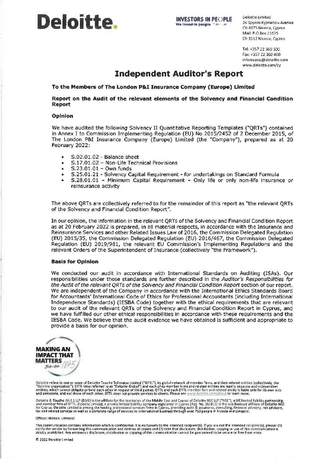

Deloitte Limited 24 Spyrou Kyprianou Avenue CY-1075 Nicosia, Cyprus Mail: P.O.Box 21675 CY-1512 Nicosia, Cyprus

Tel: +357 22 360 300 Eax: +357 22 360 400 infonicosia@deloitte.com www.deloitte.com/cv

## **Independent Auditor's Report**

To the Members of The London P&I Insurance Company (Europe) Limited

#### Report on the Audit of the relevant elements of the Solvency and Financial Condition **Report**

#### **Opinion**

We have audited the following Solvency II Quantitative Reporting Templates ("QRTs") contained in Annex I to Commission Implementing Regulation (EU) No 2015/2452 of 2 December 2015, of The London P&I Insurance Company (Europe) Limited (the "Company"), prepared as at 20 February 2022:

- S.02.01.02 Balance sheet  $\bullet$
- S.17.01.02 Non-Life Technical Provisions  $\bullet$
- S.23.01.01 Own funds
- S.25.01.21 Solvency Capital Requirement for undertakings on Standard Formula
- S.28.01.01 Minimum Capital Requirement Only life or only non-life insurance or reinsurance activity

The above QRTs are collectively referred to for the remainder of this report as "the relevant QRTs of the Solvency and Financial Condition Report".

In our opinion, the information in the relevant QRTs of the Solvency and Financial Condition Report as at 20 February 2022 is prepared, in all material respects, in accordance with the Insurance and Reinsurance Services and other Related Issues Law of 2016, the Commission Delegated Regulation (EU) 2015/35, the Commission Delegated Regulation (EU) 2016/467, the Commission Delegated Regulation (EU) 2019/981, the relevant EU Commission's Implementing Regulations and the relevant Orders of the Superintendent of Insurance (collectively "the Framework").

#### **Basis for Opinion**

We conducted our audit in accordance with International Standards on Auditing (ISAs). Our responsibilities under those standards are further described in the Auditor's Responsibilities for the Audit of the relevant QRTs of the Solvency and Financial Condition Report section of our report. We are independent of the Company in accordance with the International Ethics Standards Board for Accountants' International Code of Ethics for Professional Accountants (including International Independence Standards) (IESBA Code) together with the ethical requirements that are relevant to our audit of the relevant QRTs of the Solvency and Financial Condition Report in Cyprus, and we have fulfilled our other ethical responsibilities in accordance with these requirements and the IESBA Code. We believe that the audit evidence we have obtained is sufficient and appropriate to provide a basis for our opinion.



Deloitte refers to one or more of Deloitte Touche Tohmatsu Limited ("DTTL"), its global network of member firms, and their related entities (collectively, the "Deloitte organisation"). DTTL (also referred to as "Deloitte G

Deloitte & Touche (M.E.) LLP (DME) is the affiliate for the territories of the Middle £ast and Cyprus of Deloitte NSE LLP ("NSE"), a UK limited llability partnership<br>and member firm of DTTL. Deloitte Limited, a private li

#### Offices: Nicosia, Limassol

This communication contains information which is confidential. It is exclusively to the intended recipient(s), if you are not the Intended recipient(s), please: (1)<br>notify the sender by forwarding this communication and de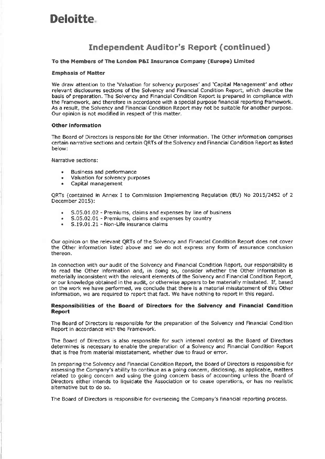# **Deloitte**

## **Independent Auditor's Report (continued)**

#### To the Members of The London P&I Insurance Company (Europe) Limited

#### **Emphasis of Matter**

We draw attention to the 'Valuation for solvency purposes' and 'Capital Management' and other relevant disclosures sections of the Solvency and Financial Condition Report, which describe the basis of preparation. The Solvency and Financial Condition Report is prepared in compliance with the Framework, and therefore in accordance with a special purpose financial reporting framework. As a result, the Solvency and Financial Condition Report may not be suitable for another purpose. Our opinion is not modified in respect of this matter.

#### **Other information**

The Board of Directors is responsible for the Other information. The Other information comprises certain narrative sections and certain QRTs of the Solvency and Financial Condition Report as listed below:

Narrative sections:

- **Business and performance**
- Valuation for solvency purposes
- $\bullet$ Capital management

QRTs (contained in Annex I to Commission Implementing Regulation (EU) No 2015/2452 of 2 December 2015):

- $\mathbf{0}$ S.05.01.02 - Premiums, claims and expenses by line of business
- S.05.02.01 Premiums, claims and expenses by country
- S.19.01.21 Non-Life insurance claims  $\bullet$  .

Our opinion on the relevant QRTs of the Solvency and Financial Condition Report does not cover the Other information listed above and we do not express any form of assurance conclusion thereon.

In connection with our audit of the Solvency and Financial Condition Report, our responsibility is to read the Other information and, in doing so, consider whether the Other information is materially inconsistent with the relevant elements of the Solvency and Financial Condition Report, or our knowledge obtained in the audit, or otherwise appears to be materially misstated. If, based on the work we have performed, we conclude that there is a material misstatement of this Other information, we are required to report that fact. We have nothing to report in this regard.

#### Responsibilities of the Board of Directors for the Solvency and Financial Condition **Report**

The Board of Directors is responsible for the preparation of the Solvency and Financial Condition Report in accordance with the Framework.

The Board of Directors is also responsible for such internal control as the Board of Directors determines is necessary to enable the preparation of a Solvency and Financial Condition Report that is free from material misstatement, whether due to fraud or error.

In preparing the Solvency and Financial Condition Report, the Board of Directors is responsible for assessing the Company's ability to continue as a going concern, disclosing, as applicable, matters related to going concern and using the going concern basis of accounting unless the Board of Directors either intends to liquidate the Association or to cease operations, or has no realistic alternative but to do so.

The Board of Directors is responsible for overseeing the Company's financial reporting process.